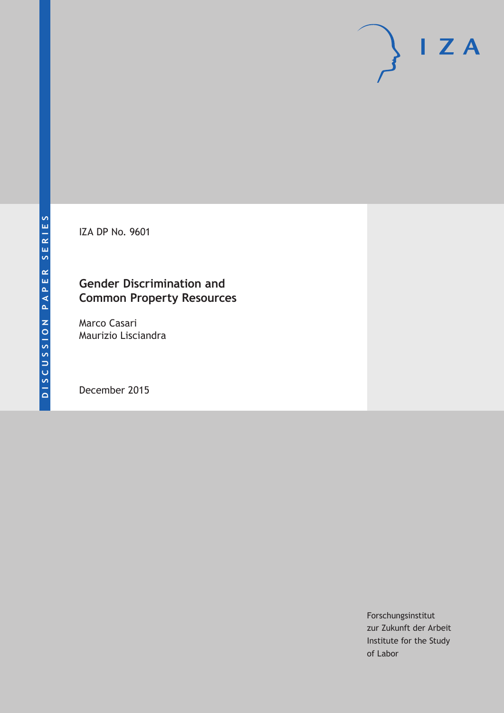IZA DP No. 9601

# **Gender Discrimination and Common Property Resources**

Marco Casari Maurizio Lisciandra

December 2015

Forschungsinstitut zur Zukunft der Arbeit Institute for the Study of Labor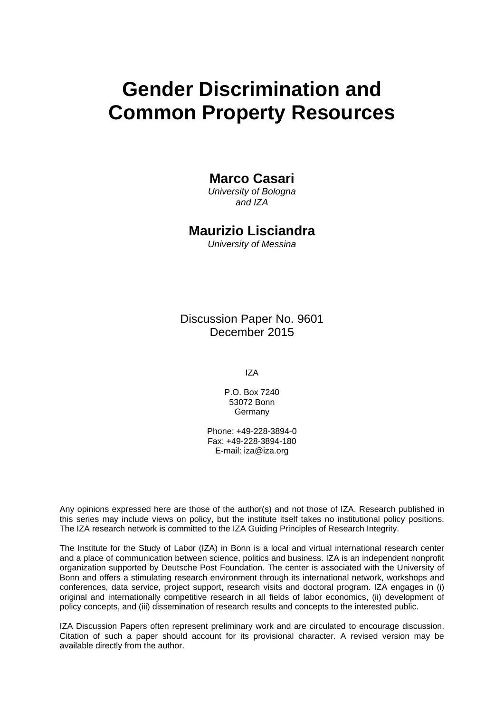# **Gender Discrimination and Common Property Resources**

### **Marco Casari**

*University of Bologna and IZA* 

## **Maurizio Lisciandra**

*University of Messina* 

Discussion Paper No. 9601 December 2015

IZA

P.O. Box 7240 53072 Bonn **Germany** 

Phone: +49-228-3894-0 Fax: +49-228-3894-180 E-mail: iza@iza.org

Any opinions expressed here are those of the author(s) and not those of IZA. Research published in this series may include views on policy, but the institute itself takes no institutional policy positions. The IZA research network is committed to the IZA Guiding Principles of Research Integrity.

The Institute for the Study of Labor (IZA) in Bonn is a local and virtual international research center and a place of communication between science, politics and business. IZA is an independent nonprofit organization supported by Deutsche Post Foundation. The center is associated with the University of Bonn and offers a stimulating research environment through its international network, workshops and conferences, data service, project support, research visits and doctoral program. IZA engages in (i) original and internationally competitive research in all fields of labor economics, (ii) development of policy concepts, and (iii) dissemination of research results and concepts to the interested public.

IZA Discussion Papers often represent preliminary work and are circulated to encourage discussion. Citation of such a paper should account for its provisional character. A revised version may be available directly from the author.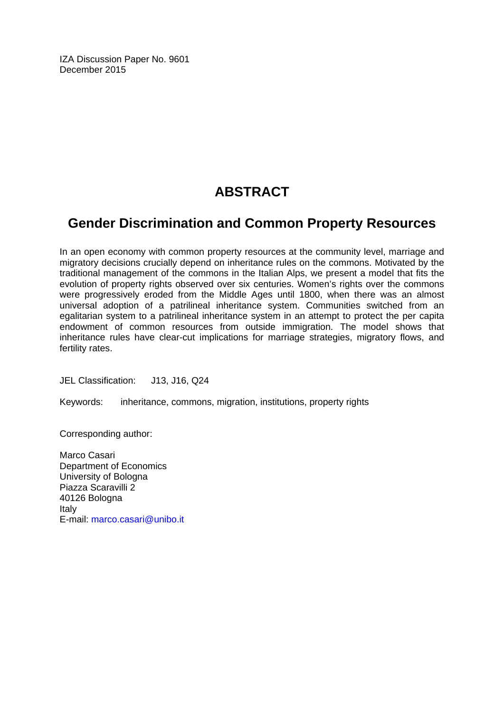IZA Discussion Paper No. 9601 December 2015

# **ABSTRACT**

# **Gender Discrimination and Common Property Resources**

In an open economy with common property resources at the community level, marriage and migratory decisions crucially depend on inheritance rules on the commons. Motivated by the traditional management of the commons in the Italian Alps, we present a model that fits the evolution of property rights observed over six centuries. Women's rights over the commons were progressively eroded from the Middle Ages until 1800, when there was an almost universal adoption of a patrilineal inheritance system. Communities switched from an egalitarian system to a patrilineal inheritance system in an attempt to protect the per capita endowment of common resources from outside immigration. The model shows that inheritance rules have clear-cut implications for marriage strategies, migratory flows, and fertility rates.

JEL Classification: J13, J16, Q24

Keywords: inheritance, commons, migration, institutions, property rights

Corresponding author:

Marco Casari Department of Economics University of Bologna Piazza Scaravilli 2 40126 Bologna Italy E-mail: marco.casari@unibo.it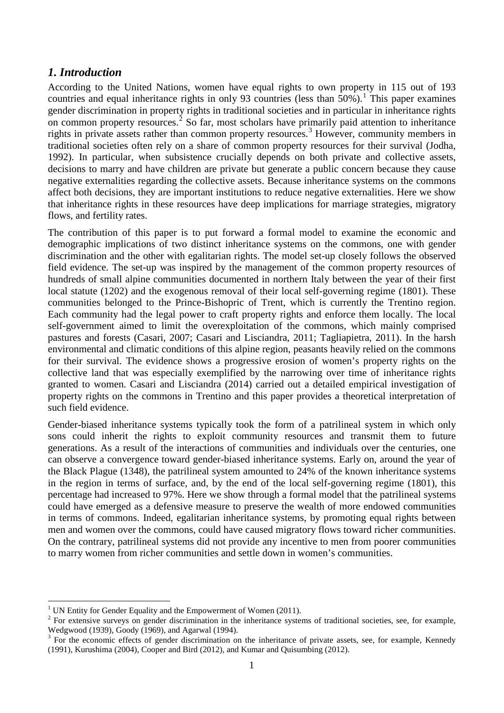#### *1. Introduction*

According to the United Nations, women have equal rights to own property in 115 out of 193 countries and equal inheritance rights in only 93 countries (less than  $50\%$ ).<sup>[1](#page-3-0)</sup> This paper examines gender discrimination in property rights in traditional societies and in particular in inheritance rights on common property resources.<sup>[2](#page-3-1)</sup> So far, most scholars have primarily paid attention to inheritance rights in private assets rather than common property resources.<sup>[3](#page-3-2)</sup> However, community members in traditional societies often rely on a share of common property resources for their survival (Jodha, 1992). In particular, when subsistence crucially depends on both private and collective assets, decisions to marry and have children are private but generate a public concern because they cause negative externalities regarding the collective assets. Because inheritance systems on the commons affect both decisions, they are important institutions to reduce negative externalities. Here we show that inheritance rights in these resources have deep implications for marriage strategies, migratory flows, and fertility rates.

The contribution of this paper is to put forward a formal model to examine the economic and demographic implications of two distinct inheritance systems on the commons, one with gender discrimination and the other with egalitarian rights. The model set-up closely follows the observed field evidence. The set-up was inspired by the management of the common property resources of hundreds of small alpine communities documented in northern Italy between the year of their first local statute (1202) and the exogenous removal of their local self-governing regime (1801). These communities belonged to the Prince-Bishopric of Trent, which is currently the Trentino region. Each community had the legal power to craft property rights and enforce them locally. The local self-government aimed to limit the overexploitation of the commons, which mainly comprised pastures and forests (Casari, 2007; Casari and Lisciandra, 2011; Tagliapietra, 2011). In the harsh environmental and climatic conditions of this alpine region, peasants heavily relied on the commons for their survival. The evidence shows a progressive erosion of women's property rights on the collective land that was especially exemplified by the narrowing over time of inheritance rights granted to women. Casari and Lisciandra (2014) carried out a detailed empirical investigation of property rights on the commons in Trentino and this paper provides a theoretical interpretation of such field evidence.

Gender-biased inheritance systems typically took the form of a patrilineal system in which only sons could inherit the rights to exploit community resources and transmit them to future generations. As a result of the interactions of communities and individuals over the centuries, one can observe a convergence toward gender-biased inheritance systems. Early on, around the year of the Black Plague (1348), the patrilineal system amounted to 24% of the known inheritance systems in the region in terms of surface, and, by the end of the local self-governing regime (1801), this percentage had increased to 97%. Here we show through a formal model that the patrilineal systems could have emerged as a defensive measure to preserve the wealth of more endowed communities in terms of commons. Indeed, egalitarian inheritance systems, by promoting equal rights between men and women over the commons, could have caused migratory flows toward richer communities. On the contrary, patrilineal systems did not provide any incentive to men from poorer communities to marry women from richer communities and settle down in women's communities.

<span id="page-3-0"></span><sup>&</sup>lt;sup>1</sup> UN Entity for Gender Equality and the Empowerment of Women (2011).

<span id="page-3-1"></span><sup>&</sup>lt;sup>2</sup> For extensive surveys on gender discrimination in the inheritance systems of traditional societies, see, for example, Wedgwood (1939), Goody (1969), and Agarwal (1994).<br><sup>3</sup> For the economic effects of gender discrimination on the inheritance of private assets, see, for example, Kennedy

<span id="page-3-2"></span><sup>(1991),</sup> Kurushima (2004), Cooper and Bird (2012), and Kumar and Quisumbing (2012).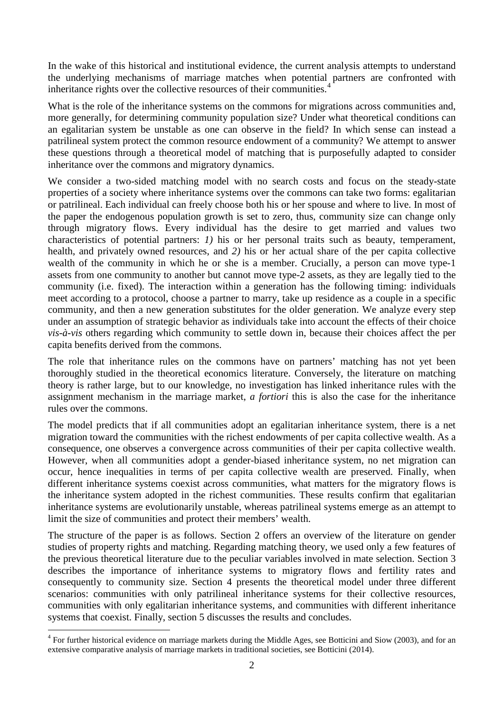In the wake of this historical and institutional evidence, the current analysis attempts to understand the underlying mechanisms of marriage matches when potential partners are confronted with inheritance rights over the collective resources of their communities.<sup>[4](#page-4-0)</sup>

What is the role of the inheritance systems on the commons for migrations across communities and, more generally, for determining community population size? Under what theoretical conditions can an egalitarian system be unstable as one can observe in the field? In which sense can instead a patrilineal system protect the common resource endowment of a community? We attempt to answer these questions through a theoretical model of matching that is purposefully adapted to consider inheritance over the commons and migratory dynamics.

We consider a two-sided matching model with no search costs and focus on the steady-state properties of a society where inheritance systems over the commons can take two forms: egalitarian or patrilineal. Each individual can freely choose both his or her spouse and where to live. In most of the paper the endogenous population growth is set to zero, thus, community size can change only through migratory flows. Every individual has the desire to get married and values two characteristics of potential partners: *1)* his or her personal traits such as beauty, temperament, health, and privately owned resources, and *2)* his or her actual share of the per capita collective wealth of the community in which he or she is a member. Crucially, a person can move type-1 assets from one community to another but cannot move type-2 assets, as they are legally tied to the community (i.e. fixed). The interaction within a generation has the following timing: individuals meet according to a protocol, choose a partner to marry, take up residence as a couple in a specific community, and then a new generation substitutes for the older generation. We analyze every step under an assumption of strategic behavior as individuals take into account the effects of their choice *vis-à-vis* others regarding which community to settle down in, because their choices affect the per capita benefits derived from the commons.

The role that inheritance rules on the commons have on partners' matching has not yet been thoroughly studied in the theoretical economics literature. Conversely, the literature on matching theory is rather large, but to our knowledge, no investigation has linked inheritance rules with the assignment mechanism in the marriage market, *a fortiori* this is also the case for the inheritance rules over the commons.

The model predicts that if all communities adopt an egalitarian inheritance system, there is a net migration toward the communities with the richest endowments of per capita collective wealth. As a consequence, one observes a convergence across communities of their per capita collective wealth. However, when all communities adopt a gender-biased inheritance system, no net migration can occur, hence inequalities in terms of per capita collective wealth are preserved. Finally, when different inheritance systems coexist across communities, what matters for the migratory flows is the inheritance system adopted in the richest communities. These results confirm that egalitarian inheritance systems are evolutionarily unstable, whereas patrilineal systems emerge as an attempt to limit the size of communities and protect their members' wealth.

The structure of the paper is as follows. Section 2 offers an overview of the literature on gender studies of property rights and matching. Regarding matching theory, we used only a few features of the previous theoretical literature due to the peculiar variables involved in mate selection. Section 3 describes the importance of inheritance systems to migratory flows and fertility rates and consequently to community size. Section 4 presents the theoretical model under three different scenarios: communities with only patrilineal inheritance systems for their collective resources, communities with only egalitarian inheritance systems, and communities with different inheritance systems that coexist. Finally, section 5 discusses the results and concludes.

<span id="page-4-0"></span><sup>&</sup>lt;sup>4</sup> For further historical evidence on marriage markets during the Middle Ages, see Botticini and Siow (2003), and for an extensive comparative analysis of marriage markets in traditional societies, see Botticini (2014).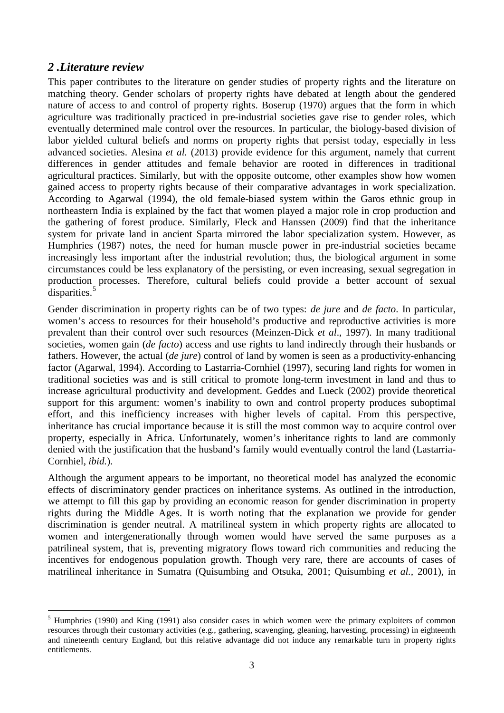### *2 .Literature review*

This paper contributes to the literature on gender studies of property rights and the literature on matching theory. Gender scholars of property rights have debated at length about the gendered nature of access to and control of property rights. Boserup (1970) argues that the form in which agriculture was traditionally practiced in pre-industrial societies gave rise to gender roles, which eventually determined male control over the resources. In particular, the biology-based division of labor yielded cultural beliefs and norms on property rights that persist today, especially in less advanced societies. Alesina *et al.* (2013) provide evidence for this argument, namely that current differences in gender attitudes and female behavior are rooted in differences in traditional agricultural practices. Similarly, but with the opposite outcome, other examples show how women gained access to property rights because of their comparative advantages in work specialization. According to Agarwal (1994), the old female-biased system within the Garos ethnic group in northeastern India is explained by the fact that women played a major role in crop production and the gathering of forest produce. Similarly, Fleck and Hanssen (2009) find that the inheritance system for private land in ancient Sparta mirrored the labor specialization system. However, as Humphries (1987) notes, the need for human muscle power in pre-industrial societies became increasingly less important after the industrial revolution; thus, the biological argument in some circumstances could be less explanatory of the persisting, or even increasing, sexual segregation in production processes. Therefore, cultural beliefs could provide a better account of sexual disparities.<sup>[5](#page-5-0)</sup>

Gender discrimination in property rights can be of two types: *de jure* and *de facto*. In particular, women's access to resources for their household's productive and reproductive activities is more prevalent than their control over such resources (Meinzen-Dick *et al*., 1997). In many traditional societies, women gain (*de facto*) access and use rights to land indirectly through their husbands or fathers. However, the actual (*de jure*) control of land by women is seen as a productivity-enhancing factor (Agarwal, 1994). According to Lastarria-Cornhiel (1997), securing land rights for women in traditional societies was and is still critical to promote long-term investment in land and thus to increase agricultural productivity and development. Geddes and Lueck (2002) provide theoretical support for this argument: women's inability to own and control property produces suboptimal effort, and this inefficiency increases with higher levels of capital. From this perspective, inheritance has crucial importance because it is still the most common way to acquire control over property, especially in Africa. Unfortunately, women's inheritance rights to land are commonly denied with the justification that the husband's family would eventually control the land (Lastarria-Cornhiel, *ibid.*).

Although the argument appears to be important, no theoretical model has analyzed the economic effects of discriminatory gender practices on inheritance systems. As outlined in the introduction, we attempt to fill this gap by providing an economic reason for gender discrimination in property rights during the Middle Ages. It is worth noting that the explanation we provide for gender discrimination is gender neutral. A matrilineal system in which property rights are allocated to women and intergenerationally through women would have served the same purposes as a patrilineal system, that is, preventing migratory flows toward rich communities and reducing the incentives for endogenous population growth. Though very rare, there are accounts of cases of matrilineal inheritance in Sumatra (Quisumbing and Otsuka, 2001; Quisumbing *et al.,* 2001), in

<span id="page-5-0"></span><sup>&</sup>lt;sup>5</sup> Humphries (1990) and King (1991) also consider cases in which women were the primary exploiters of common resources through their customary activities (e.g., gathering, scavenging, gleaning, harvesting, processing) in eighteenth and nineteenth century England, but this relative advantage did not induce any remarkable turn in property rights entitlements.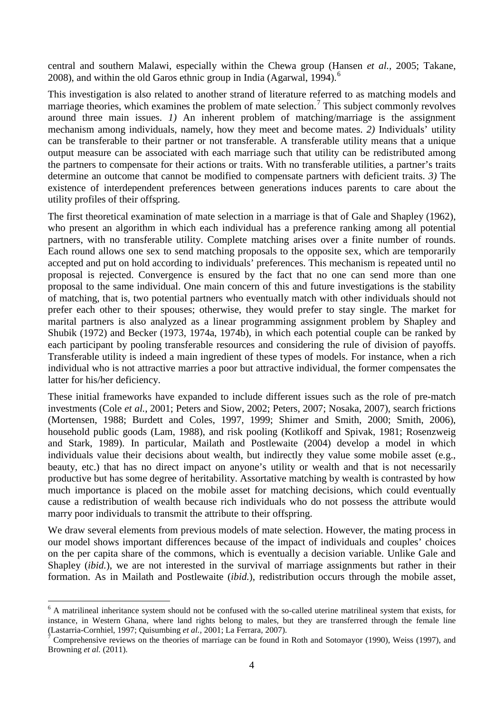central and southern Malawi, especially within the Chewa group (Hansen *et al.,* 2005; Takane, 2008), and within the old Garos ethnic group in India (Agarwal, 1994).<sup>[6](#page-6-0)</sup>

This investigation is also related to another strand of literature referred to as matching models and marriage theories, which examines the problem of mate selection.<sup>[7](#page-6-1)</sup> This subject commonly revolves around three main issues. *1)* An inherent problem of matching/marriage is the assignment mechanism among individuals, namely, how they meet and become mates. *2)* Individuals' utility can be transferable to their partner or not transferable. A transferable utility means that a unique output measure can be associated with each marriage such that utility can be redistributed among the partners to compensate for their actions or traits. With no transferable utilities, a partner's traits determine an outcome that cannot be modified to compensate partners with deficient traits. *3)* The existence of interdependent preferences between generations induces parents to care about the utility profiles of their offspring.

The first theoretical examination of mate selection in a marriage is that of Gale and Shapley (1962), who present an algorithm in which each individual has a preference ranking among all potential partners, with no transferable utility. Complete matching arises over a finite number of rounds. Each round allows one sex to send matching proposals to the opposite sex, which are temporarily accepted and put on hold according to individuals' preferences. This mechanism is repeated until no proposal is rejected. Convergence is ensured by the fact that no one can send more than one proposal to the same individual. One main concern of this and future investigations is the stability of matching, that is, two potential partners who eventually match with other individuals should not prefer each other to their spouses; otherwise, they would prefer to stay single. The market for marital partners is also analyzed as a linear programming assignment problem by Shapley and Shubik (1972) and Becker (1973, 1974a, 1974b), in which each potential couple can be ranked by each participant by pooling transferable resources and considering the rule of division of payoffs. Transferable utility is indeed a main ingredient of these types of models. For instance, when a rich individual who is not attractive marries a poor but attractive individual, the former compensates the latter for his/her deficiency.

These initial frameworks have expanded to include different issues such as the role of pre-match investments (Cole *et al.*, 2001; Peters and Siow, 2002; Peters, 2007; Nosaka, 2007), search frictions (Mortensen, 1988; Burdett and Coles, 1997, 1999; Shimer and Smith, 2000; Smith, 2006), household public goods (Lam, 1988), and risk pooling (Kotlikoff and Spivak, 1981; Rosenzweig and Stark, 1989). In particular, Mailath and Postlewaite (2004) develop a model in which individuals value their decisions about wealth, but indirectly they value some mobile asset (e.g., beauty, etc.) that has no direct impact on anyone's utility or wealth and that is not necessarily productive but has some degree of heritability. Assortative matching by wealth is contrasted by how much importance is placed on the mobile asset for matching decisions, which could eventually cause a redistribution of wealth because rich individuals who do not possess the attribute would marry poor individuals to transmit the attribute to their offspring.

We draw several elements from previous models of mate selection. However, the mating process in our model shows important differences because of the impact of individuals and couples' choices on the per capita share of the commons, which is eventually a decision variable. Unlike Gale and Shapley *(ibid.)*, we are not interested in the survival of marriage assignments but rather in their formation. As in Mailath and Postlewaite (*ibid.*), redistribution occurs through the mobile asset,

<span id="page-6-0"></span> <sup>6</sup> A matrilineal inheritance system should not be confused with the so-called uterine matrilineal system that exists, for instance, in Western Ghana, where land rights belong to males, but they are transferred through the female line (Lastarria-Cornhiel, 1997; Quisumbing *et al.,* 2001; La Ferrara, 2007). <sup>7</sup> Comprehensive reviews on the theories of marriage can be found in Roth and Sotomayor (1990), Weiss (1997), and

<span id="page-6-1"></span>Browning *et al.* (2011).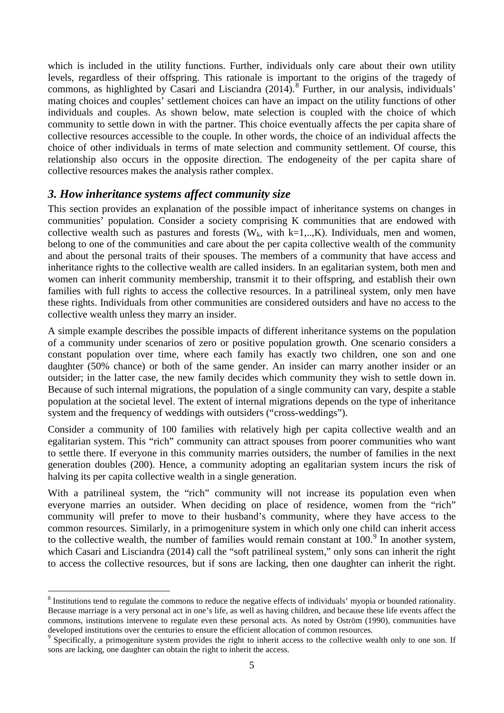which is included in the utility functions. Further, individuals only care about their own utility levels, regardless of their offspring. This rationale is important to the origins of the tragedy of commons, as highlighted by Casari and Lisciandra  $(2014)$ .<sup>[8](#page-7-0)</sup> Further, in our analysis, individuals' mating choices and couples' settlement choices can have an impact on the utility functions of other individuals and couples. As shown below, mate selection is coupled with the choice of which community to settle down in with the partner. This choice eventually affects the per capita share of collective resources accessible to the couple. In other words, the choice of an individual affects the choice of other individuals in terms of mate selection and community settlement. Of course, this relationship also occurs in the opposite direction. The endogeneity of the per capita share of collective resources makes the analysis rather complex.

#### *3. How inheritance systems affect community size*

This section provides an explanation of the possible impact of inheritance systems on changes in communities' population. Consider a society comprising K communities that are endowed with collective wealth such as pastures and forests ( $W_k$ , with k=1,..,K). Individuals, men and women, belong to one of the communities and care about the per capita collective wealth of the community and about the personal traits of their spouses. The members of a community that have access and inheritance rights to the collective wealth are called insiders. In an egalitarian system, both men and women can inherit community membership, transmit it to their offspring, and establish their own families with full rights to access the collective resources. In a patrilineal system, only men have these rights. Individuals from other communities are considered outsiders and have no access to the collective wealth unless they marry an insider.

A simple example describes the possible impacts of different inheritance systems on the population of a community under scenarios of zero or positive population growth. One scenario considers a constant population over time, where each family has exactly two children, one son and one daughter (50% chance) or both of the same gender. An insider can marry another insider or an outsider; in the latter case, the new family decides which community they wish to settle down in. Because of such internal migrations, the population of a single community can vary, despite a stable population at the societal level. The extent of internal migrations depends on the type of inheritance system and the frequency of weddings with outsiders ("cross-weddings").

Consider a community of 100 families with relatively high per capita collective wealth and an egalitarian system. This "rich" community can attract spouses from poorer communities who want to settle there. If everyone in this community marries outsiders, the number of families in the next generation doubles (200). Hence, a community adopting an egalitarian system incurs the risk of halving its per capita collective wealth in a single generation.

With a patrilineal system, the "rich" community will not increase its population even when everyone marries an outsider. When deciding on place of residence, women from the "rich" community will prefer to move to their husband's community, where they have access to the common resources. Similarly, in a primogeniture system in which only one child can inherit access to the collective wealth, the number of families would remain constant at  $100<sup>9</sup>$  $100<sup>9</sup>$  $100<sup>9</sup>$  In another system, which Casari and Lisciandra (2014) call the "soft patrilineal system," only sons can inherit the right to access the collective resources, but if sons are lacking, then one daughter can inherit the right.

<span id="page-7-0"></span><sup>&</sup>lt;sup>8</sup> Institutions tend to regulate the commons to reduce the negative effects of individuals' myopia or bounded rationality. Because marriage is a very personal act in one's life, as well as having children, and because these life events affect the commons, institutions intervene to regulate even these personal acts. As noted by Oström (1990), communities have developed institutions over the centuries to ensure the efficient allocation of common resources.<br><sup>9</sup> Specifically, a primogeniture system provides the right to inherit access to the collective wealth only to one son. If

<span id="page-7-1"></span>sons are lacking, one daughter can obtain the right to inherit the access.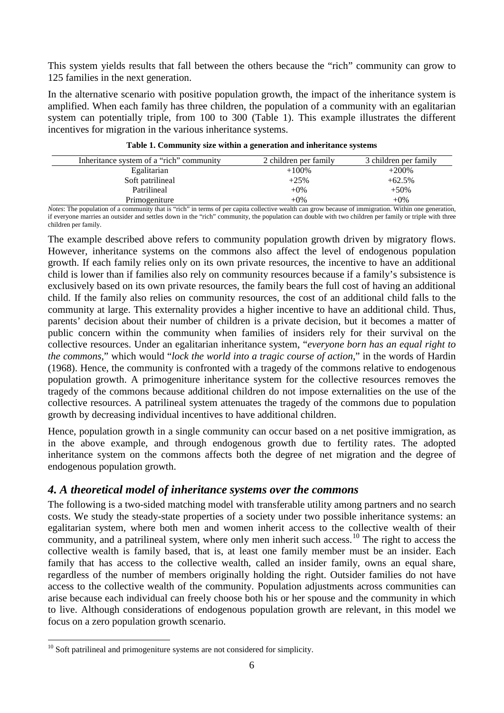This system yields results that fall between the others because the "rich" community can grow to 125 families in the next generation.

In the alternative scenario with positive population growth, the impact of the inheritance system is amplified. When each family has three children, the population of a community with an egalitarian system can potentially triple, from 100 to 300 (Table 1). This example illustrates the different incentives for migration in the various inheritance systems.

| Inheritance system of a "rich" community | 2 children per family | 3 children per family |
|------------------------------------------|-----------------------|-----------------------|
| Egalitarian                              | $+100%$               | $+200%$               |
| Soft patrilineal                         | $+25%$                | $+62.5%$              |
| Patrilineal                              | $+0\%$                | $+50%$                |
| Primogeniture                            | $+0\%$                | $+0\%$                |

**Table 1. Community size within a generation and inheritance systems**

*Notes*: The population of a community that is "rich" in terms of per capita collective wealth can grow because of immigration. Within one generation, if everyone marries an outsider and settles down in the "rich" community, the population can double with two children per family or triple with three children per family.

The example described above refers to community population growth driven by migratory flows. However, inheritance systems on the commons also affect the level of endogenous population growth. If each family relies only on its own private resources, the incentive to have an additional child is lower than if families also rely on community resources because if a family's subsistence is exclusively based on its own private resources, the family bears the full cost of having an additional child. If the family also relies on community resources, the cost of an additional child falls to the community at large. This externality provides a higher incentive to have an additional child. Thus, parents' decision about their number of children is a private decision, but it becomes a matter of public concern within the community when families of insiders rely for their survival on the collective resources. Under an egalitarian inheritance system, "*everyone born has an equal right to the commons,*" which would "*lock the world into a tragic course of action*," in the words of Hardin (1968). Hence, the community is confronted with a tragedy of the commons relative to endogenous population growth. A primogeniture inheritance system for the collective resources removes the tragedy of the commons because additional children do not impose externalities on the use of the collective resources. A patrilineal system attenuates the tragedy of the commons due to population growth by decreasing individual incentives to have additional children.

Hence, population growth in a single community can occur based on a net positive immigration, as in the above example, and through endogenous growth due to fertility rates. The adopted inheritance system on the commons affects both the degree of net migration and the degree of endogenous population growth.

### *4. A theoretical model of inheritance systems over the commons*

The following is a two-sided matching model with transferable utility among partners and no search costs. We study the steady-state properties of a society under two possible inheritance systems: an egalitarian system, where both men and women inherit access to the collective wealth of their community, and a patrilineal system, where only men inherit such access.<sup>[10](#page-8-0)</sup> The right to access the collective wealth is family based, that is, at least one family member must be an insider. Each family that has access to the collective wealth, called an insider family, owns an equal share, regardless of the number of members originally holding the right. Outsider families do not have access to the collective wealth of the community. Population adjustments across communities can arise because each individual can freely choose both his or her spouse and the community in which to live. Although considerations of endogenous population growth are relevant, in this model we focus on a zero population growth scenario.

<span id="page-8-0"></span> $10$  Soft patrilineal and primogeniture systems are not considered for simplicity.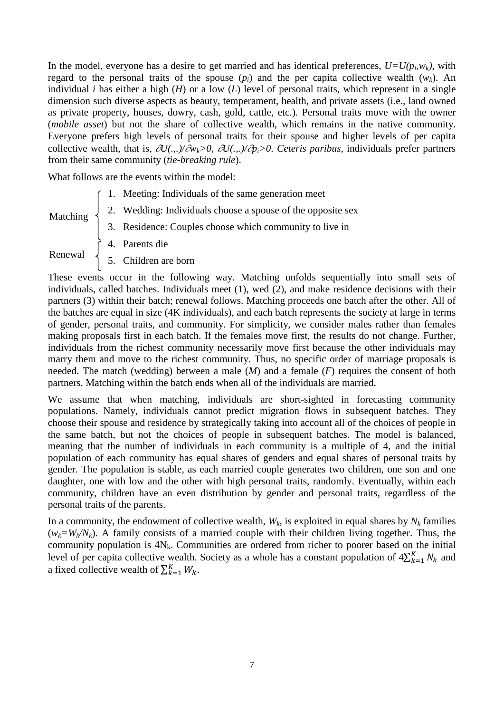In the model, everyone has a desire to get married and has identical preferences,  $U=U(p_i, w_k)$ , with regard to the personal traits of the spouse  $(p_i)$  and the per capita collective wealth  $(w_k)$ . An individual *i* has either a high (*H*) or a low (*L*) level of personal traits, which represent in a single dimension such diverse aspects as beauty, temperament, health, and private assets (i.e., land owned as private property, houses, dowry, cash, gold, cattle, etc.). Personal traits move with the owner (*mobile asset*) but not the share of collective wealth, which remains in the native community. Everyone prefers high levels of personal traits for their spouse and higher levels of per capita collective wealth, that is, <sup>∂</sup>*U(.,.)/*∂*wk>0*, ∂*U(.,.)/*∂*pi>0*. *Ceteris paribus*, individuals prefer partners from their same community (*tie-breaking rule*).

What follows are the events within the model:

1. Meeting: Individuals of the same generation meet

Matching

- 2. Wedding: Individuals choose a spouse of the opposite sex 3. Residence: Couples choose which community to live in
- 4. Parents die

Renewal

5. Children are born

These events occur in the following way. Matching unfolds sequentially into small sets of individuals, called batches. Individuals meet (1), wed (2), and make residence decisions with their partners (3) within their batch; renewal follows. Matching proceeds one batch after the other. All of the batches are equal in size (4K individuals), and each batch represents the society at large in terms of gender, personal traits, and community. For simplicity, we consider males rather than females making proposals first in each batch. If the females move first, the results do not change. Further, individuals from the richest community necessarily move first because the other individuals may marry them and move to the richest community. Thus, no specific order of marriage proposals is needed. The match (wedding) between a male (*M*) and a female (*F*) requires the consent of both partners. Matching within the batch ends when all of the individuals are married.

We assume that when matching, individuals are short-sighted in forecasting community populations. Namely, individuals cannot predict migration flows in subsequent batches. They choose their spouse and residence by strategically taking into account all of the choices of people in the same batch, but not the choices of people in subsequent batches. The model is balanced, meaning that the number of individuals in each community is a multiple of 4, and the initial population of each community has equal shares of genders and equal shares of personal traits by gender. The population is stable, as each married couple generates two children, one son and one daughter, one with low and the other with high personal traits, randomly. Eventually, within each community, children have an even distribution by gender and personal traits, regardless of the personal traits of the parents.

In a community, the endowment of collective wealth,  $W_k$ , is exploited in equal shares by  $N_k$  families  $(w_k = W_k/N_k)$ . A family consists of a married couple with their children living together. Thus, the community population is  $4N_k$ . Communities are ordered from richer to poorer based on the initial level of per capita collective wealth. Society as a whole has a constant population of  $4\sum_{k=1}^{K} N_k$  and a fixed collective wealth of  $\sum_{k=1}^{K} W_k$ .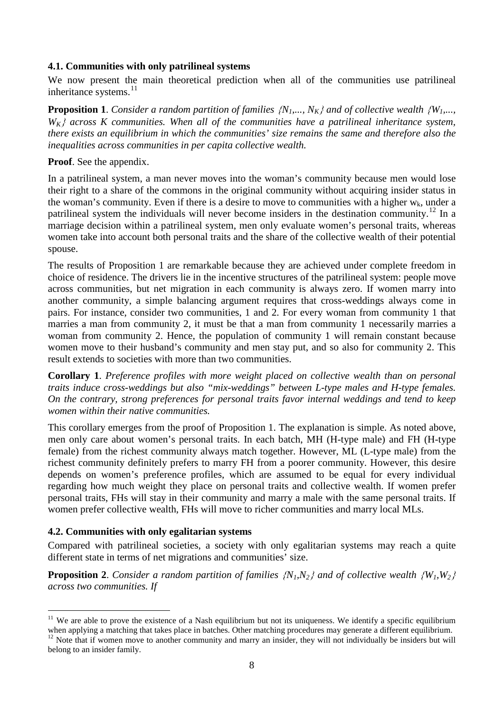#### **4.1. Communities with only patrilineal systems**

We now present the main theoretical prediction when all of the communities use patrilineal inheritance systems.<sup>[11](#page-10-0)</sup>

**Proposition 1**. *Consider a random partition of families*  ${N_1,..., N_K}$  *and of collective wealth*  ${W_1,..., Y_K}$  $W_k$  across K communities. When all of the communities have a patrilineal inheritance system, *there exists an equilibrium in which the communities' size remains the same and therefore also the inequalities across communities in per capita collective wealth.* 

#### **Proof**. See the appendix.

In a patrilineal system, a man never moves into the woman's community because men would lose their right to a share of the commons in the original community without acquiring insider status in the woman's community. Even if there is a desire to move to communities with a higher  $w_k$ , under a patrilineal system the individuals will never become insiders in the destination community.<sup>[12](#page-10-1)</sup> In a marriage decision within a patrilineal system, men only evaluate women's personal traits, whereas women take into account both personal traits and the share of the collective wealth of their potential spouse.

The results of Proposition 1 are remarkable because they are achieved under complete freedom in choice of residence. The drivers lie in the incentive structures of the patrilineal system: people move across communities, but net migration in each community is always zero. If women marry into another community, a simple balancing argument requires that cross-weddings always come in pairs. For instance, consider two communities, 1 and 2. For every woman from community 1 that marries a man from community 2, it must be that a man from community 1 necessarily marries a woman from community 2. Hence, the population of community 1 will remain constant because women move to their husband's community and men stay put, and so also for community 2. This result extends to societies with more than two communities.

**Corollary 1**. *Preference profiles with more weight placed on collective wealth than on personal traits induce cross-weddings but also "mix-weddings" between L-type males and H-type females. On the contrary, strong preferences for personal traits favor internal weddings and tend to keep women within their native communities.*

This corollary emerges from the proof of Proposition 1. The explanation is simple. As noted above, men only care about women's personal traits. In each batch, MH (H-type male) and FH (H-type female) from the richest community always match together. However, ML (L-type male) from the richest community definitely prefers to marry FH from a poorer community. However, this desire depends on women's preference profiles, which are assumed to be equal for every individual regarding how much weight they place on personal traits and collective wealth. If women prefer personal traits, FHs will stay in their community and marry a male with the same personal traits. If women prefer collective wealth, FHs will move to richer communities and marry local MLs.

#### **4.2. Communities with only egalitarian systems**

Compared with patrilineal societies, a society with only egalitarian systems may reach a quite different state in terms of net migrations and communities' size.

**Proposition 2.** *Consider a random partition of families*  ${N_1, N_2}$  *and of collective wealth*  ${W_1, W_2}$ *across two communities. If* 

<span id="page-10-0"></span> $11$  We are able to prove the existence of a Nash equilibrium but not its uniqueness. We identify a specific equilibrium when applying a matching that takes place in batches. Other matching procedures may generate a different equilibrium.<br><sup>12</sup> Note that if women move to another community and marry an insider, they will not individually be in

<span id="page-10-1"></span>belong to an insider family.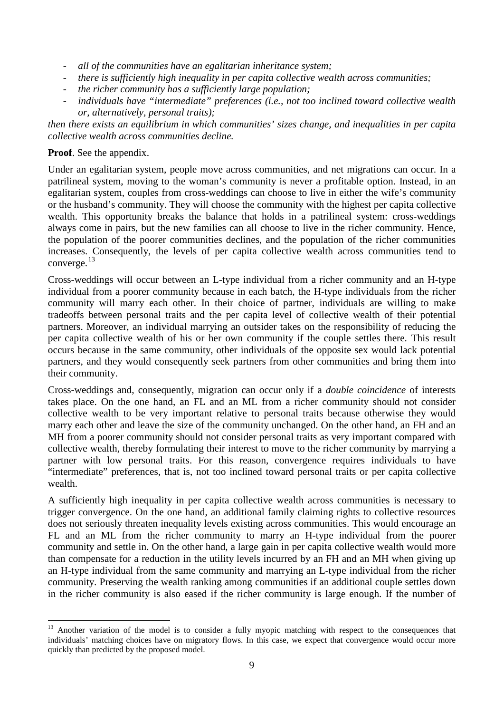- *all of the communities have an egalitarian inheritance system;*
- *there is sufficiently high inequality in per capita collective wealth across communities;*
- *the richer community has a sufficiently large population;*
- individuals have "intermediate" preferences (i.e., not too inclined toward collective wealth *or, alternatively, personal traits);*

*then there exists an equilibrium in which communities' sizes change, and inequalities in per capita collective wealth across communities decline.*

#### **Proof**. See the appendix.

Under an egalitarian system, people move across communities, and net migrations can occur. In a patrilineal system, moving to the woman's community is never a profitable option. Instead, in an egalitarian system, couples from cross-weddings can choose to live in either the wife's community or the husband's community. They will choose the community with the highest per capita collective wealth. This opportunity breaks the balance that holds in a patrilineal system: cross-weddings always come in pairs, but the new families can all choose to live in the richer community. Hence, the population of the poorer communities declines, and the population of the richer communities increases. Consequently, the levels of per capita collective wealth across communities tend to converge.[13](#page-11-0)

Cross-weddings will occur between an L-type individual from a richer community and an H-type individual from a poorer community because in each batch, the H-type individuals from the richer community will marry each other. In their choice of partner, individuals are willing to make tradeoffs between personal traits and the per capita level of collective wealth of their potential partners. Moreover, an individual marrying an outsider takes on the responsibility of reducing the per capita collective wealth of his or her own community if the couple settles there. This result occurs because in the same community, other individuals of the opposite sex would lack potential partners, and they would consequently seek partners from other communities and bring them into their community.

Cross-weddings and, consequently, migration can occur only if a *double coincidence* of interests takes place. On the one hand, an FL and an ML from a richer community should not consider collective wealth to be very important relative to personal traits because otherwise they would marry each other and leave the size of the community unchanged. On the other hand, an FH and an MH from a poorer community should not consider personal traits as very important compared with collective wealth, thereby formulating their interest to move to the richer community by marrying a partner with low personal traits. For this reason, convergence requires individuals to have "intermediate" preferences, that is, not too inclined toward personal traits or per capita collective wealth.

A sufficiently high inequality in per capita collective wealth across communities is necessary to trigger convergence. On the one hand, an additional family claiming rights to collective resources does not seriously threaten inequality levels existing across communities. This would encourage an FL and an ML from the richer community to marry an H-type individual from the poorer community and settle in. On the other hand, a large gain in per capita collective wealth would more than compensate for a reduction in the utility levels incurred by an FH and an MH when giving up an H-type individual from the same community and marrying an L-type individual from the richer community. Preserving the wealth ranking among communities if an additional couple settles down in the richer community is also eased if the richer community is large enough. If the number of

<span id="page-11-0"></span><sup>&</sup>lt;sup>13</sup> Another variation of the model is to consider a fully myopic matching with respect to the consequences that individuals' matching choices have on migratory flows. In this case, we expect that convergence would occur more quickly than predicted by the proposed model.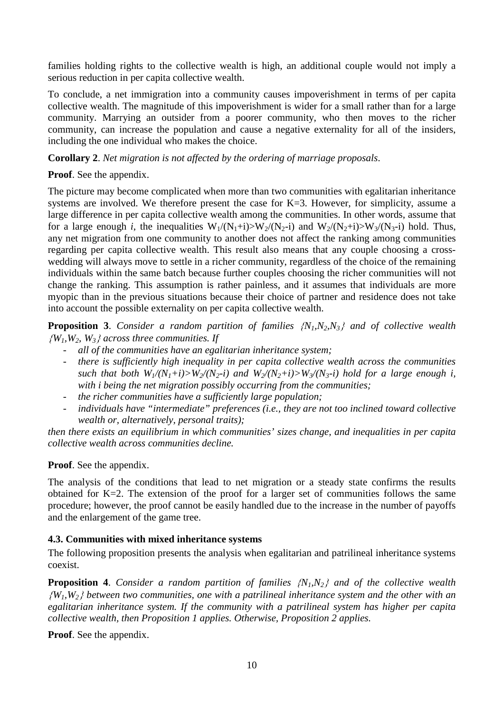families holding rights to the collective wealth is high, an additional couple would not imply a serious reduction in per capita collective wealth.

To conclude, a net immigration into a community causes impoverishment in terms of per capita collective wealth. The magnitude of this impoverishment is wider for a small rather than for a large community. Marrying an outsider from a poorer community, who then moves to the richer community, can increase the population and cause a negative externality for all of the insiders, including the one individual who makes the choice.

**Corollary 2**. *Net migration is not affected by the ordering of marriage proposals*.

**Proof**. See the appendix.

The picture may become complicated when more than two communities with egalitarian inheritance systems are involved. We therefore present the case for K=3. However, for simplicity, assume a large difference in per capita collective wealth among the communities. In other words, assume that for a large enough *i*, the inequalities  $W_1/(N_1+i) > W_2/(N_2-i)$  and  $W_2/(N_2+i) > W_3/(N_3-i)$  hold. Thus, any net migration from one community to another does not affect the ranking among communities regarding per capita collective wealth. This result also means that any couple choosing a crosswedding will always move to settle in a richer community, regardless of the choice of the remaining individuals within the same batch because further couples choosing the richer communities will not change the ranking. This assumption is rather painless, and it assumes that individuals are more myopic than in the previous situations because their choice of partner and residence does not take into account the possible externality on per capita collective wealth.

**Proposition 3**. *Consider a random partition of families* {*N1,N2,N3*} *and of collective wealth*  {*W1,W2, W3*} *across three communities. If* 

- *all of the communities have an egalitarian inheritance system;*
- *there is sufficiently high inequality in per capita collective wealth across the communities such that both W*<sub>1</sub>/(N<sub>1</sub>+i)>W<sub>2</sub>/(N<sub>2</sub>-i) and W<sub>2</sub>/(N<sub>2</sub>+i)>W<sub>3</sub>/(N<sub>3</sub>-i) hold for a large enough *i*, *with i being the net migration possibly occurring from the communities;*
- *the richer communities have a sufficiently large population;*
- individuals have "intermediate" preferences (i.e., they are not too inclined toward collective *wealth or, alternatively, personal traits);*

*then there exists an equilibrium in which communities' sizes change, and inequalities in per capita collective wealth across communities decline.*

#### **Proof**. See the appendix.

The analysis of the conditions that lead to net migration or a steady state confirms the results obtained for K=2. The extension of the proof for a larger set of communities follows the same procedure; however, the proof cannot be easily handled due to the increase in the number of payoffs and the enlargement of the game tree.

#### **4.3. Communities with mixed inheritance systems**

The following proposition presents the analysis when egalitarian and patrilineal inheritance systems coexist.

**Proposition 4**. *Consider a random partition of families* {*N1,N2*} *and of the collective wealth*  {*W1,W2*} *between two communities, one with a patrilineal inheritance system and the other with an egalitarian inheritance system. If the community with a patrilineal system has higher per capita collective wealth, then Proposition 1 applies. Otherwise, Proposition 2 applies.*

**Proof**. See the appendix.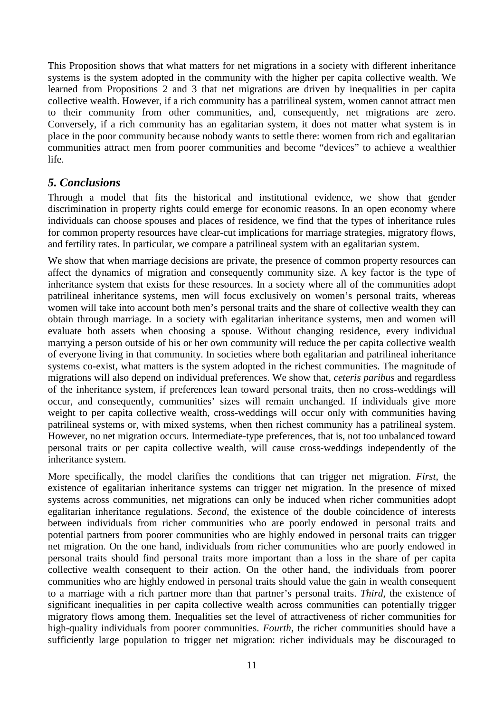This Proposition shows that what matters for net migrations in a society with different inheritance systems is the system adopted in the community with the higher per capita collective wealth. We learned from Propositions 2 and 3 that net migrations are driven by inequalities in per capita collective wealth. However, if a rich community has a patrilineal system, women cannot attract men to their community from other communities, and, consequently, net migrations are zero. Conversely, if a rich community has an egalitarian system, it does not matter what system is in place in the poor community because nobody wants to settle there: women from rich and egalitarian communities attract men from poorer communities and become "devices" to achieve a wealthier life.

### *5. Conclusions*

Through a model that fits the historical and institutional evidence, we show that gender discrimination in property rights could emerge for economic reasons. In an open economy where individuals can choose spouses and places of residence, we find that the types of inheritance rules for common property resources have clear-cut implications for marriage strategies, migratory flows, and fertility rates. In particular, we compare a patrilineal system with an egalitarian system.

We show that when marriage decisions are private, the presence of common property resources can affect the dynamics of migration and consequently community size. A key factor is the type of inheritance system that exists for these resources. In a society where all of the communities adopt patrilineal inheritance systems, men will focus exclusively on women's personal traits, whereas women will take into account both men's personal traits and the share of collective wealth they can obtain through marriage. In a society with egalitarian inheritance systems, men and women will evaluate both assets when choosing a spouse. Without changing residence, every individual marrying a person outside of his or her own community will reduce the per capita collective wealth of everyone living in that community. In societies where both egalitarian and patrilineal inheritance systems co-exist, what matters is the system adopted in the richest communities. The magnitude of migrations will also depend on individual preferences. We show that, *ceteris paribus* and regardless of the inheritance system, if preferences lean toward personal traits, then no cross-weddings will occur, and consequently, communities' sizes will remain unchanged. If individuals give more weight to per capita collective wealth, cross-weddings will occur only with communities having patrilineal systems or, with mixed systems, when then richest community has a patrilineal system. However, no net migration occurs. Intermediate-type preferences, that is, not too unbalanced toward personal traits or per capita collective wealth, will cause cross-weddings independently of the inheritance system.

More specifically, the model clarifies the conditions that can trigger net migration. *First*, the existence of egalitarian inheritance systems can trigger net migration. In the presence of mixed systems across communities, net migrations can only be induced when richer communities adopt egalitarian inheritance regulations. *Second*, the existence of the double coincidence of interests between individuals from richer communities who are poorly endowed in personal traits and potential partners from poorer communities who are highly endowed in personal traits can trigger net migration. On the one hand, individuals from richer communities who are poorly endowed in personal traits should find personal traits more important than a loss in the share of per capita collective wealth consequent to their action. On the other hand, the individuals from poorer communities who are highly endowed in personal traits should value the gain in wealth consequent to a marriage with a rich partner more than that partner's personal traits. *Third*, the existence of significant inequalities in per capita collective wealth across communities can potentially trigger migratory flows among them. Inequalities set the level of attractiveness of richer communities for high-quality individuals from poorer communities. *Fourth*, the richer communities should have a sufficiently large population to trigger net migration: richer individuals may be discouraged to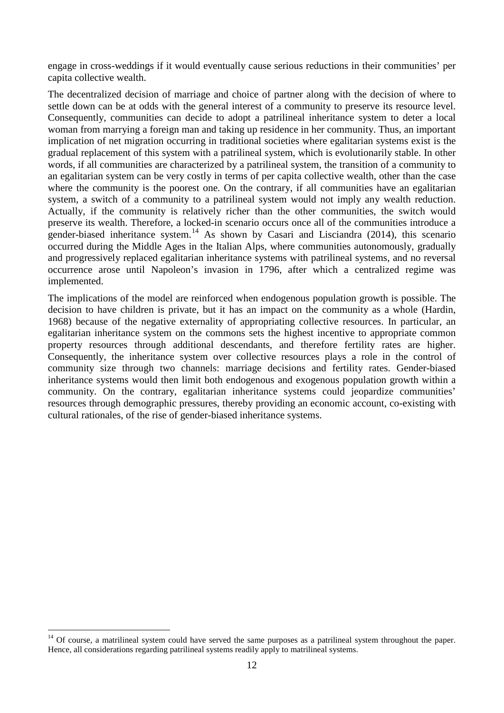engage in cross-weddings if it would eventually cause serious reductions in their communities' per capita collective wealth.

The decentralized decision of marriage and choice of partner along with the decision of where to settle down can be at odds with the general interest of a community to preserve its resource level. Consequently, communities can decide to adopt a patrilineal inheritance system to deter a local woman from marrying a foreign man and taking up residence in her community. Thus, an important implication of net migration occurring in traditional societies where egalitarian systems exist is the gradual replacement of this system with a patrilineal system, which is evolutionarily stable. In other words, if all communities are characterized by a patrilineal system, the transition of a community to an egalitarian system can be very costly in terms of per capita collective wealth, other than the case where the community is the poorest one. On the contrary, if all communities have an egalitarian system, a switch of a community to a patrilineal system would not imply any wealth reduction. Actually, if the community is relatively richer than the other communities, the switch would preserve its wealth. Therefore, a locked-in scenario occurs once all of the communities introduce a gender-biased inheritance system.<sup>[14](#page-14-0)</sup> As shown by Casari and Lisciandra (2014), this scenario occurred during the Middle Ages in the Italian Alps, where communities autonomously, gradually and progressively replaced egalitarian inheritance systems with patrilineal systems, and no reversal occurrence arose until Napoleon's invasion in 1796, after which a centralized regime was implemented.

The implications of the model are reinforced when endogenous population growth is possible. The decision to have children is private, but it has an impact on the community as a whole (Hardin, 1968) because of the negative externality of appropriating collective resources. In particular, an egalitarian inheritance system on the commons sets the highest incentive to appropriate common property resources through additional descendants, and therefore fertility rates are higher. Consequently, the inheritance system over collective resources plays a role in the control of community size through two channels: marriage decisions and fertility rates. Gender-biased inheritance systems would then limit both endogenous and exogenous population growth within a community. On the contrary, egalitarian inheritance systems could jeopardize communities' resources through demographic pressures, thereby providing an economic account, co-existing with cultural rationales, of the rise of gender-biased inheritance systems.

<span id="page-14-0"></span> $14$  Of course, a matrilineal system could have served the same purposes as a patrilineal system throughout the paper. Hence, all considerations regarding patrilineal systems readily apply to matrilineal systems.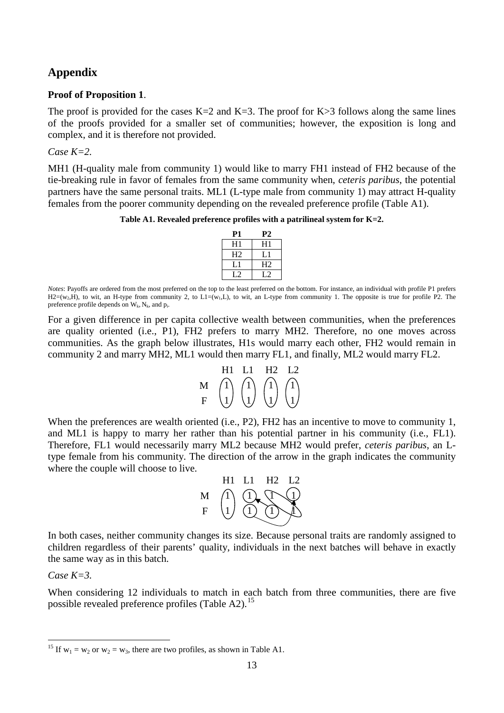### **Appendix**

#### **Proof of Proposition 1**.

The proof is provided for the cases  $K=2$  and  $K=3$ . The proof for  $K>3$  follows along the same lines of the proofs provided for a smaller set of communities; however, the exposition is long and complex, and it is therefore not provided.

#### *Case K=2.*

MH1 (H-quality male from community 1) would like to marry FH1 instead of FH2 because of the tie-breaking rule in favor of females from the same community when, *ceteris paribus*, the potential partners have the same personal traits. ML1 (L-type male from community 1) may attract H-quality females from the poorer community depending on the revealed preference profile (Table A1).

**Table A1. Revealed preference profiles with a patrilineal system for K=2.**

| <b>P1</b>      | P2             |
|----------------|----------------|
| H1             | H1             |
| H <sub>2</sub> | L 1            |
| L 1            | H <sub>2</sub> |
| l 2            | l 7            |

*Notes*: Payoffs are ordered from the most preferred on the top to the least preferred on the bottom. For instance, an individual with profile P1 prefers  $H2=(w_2,H)$ , to wit, an H-type from community 2, to L1=(w<sub>1</sub>,L), to wit, an L-type from community 1. The opposite is true for profile P2. The preference profile depends on  $W_k$ ,  $N_k$ , and p.

For a given difference in per capita collective wealth between communities, when the preferences are quality oriented (i.e., P1), FH2 prefers to marry MH2. Therefore, no one moves across communities. As the graph below illustrates, H1s would marry each other, FH2 would remain in community 2 and marry MH2, ML1 would then marry FL1, and finally, ML2 would marry FL2.

|   | H1  | $\blacksquare$   | H2  | $\overline{1}$ |
|---|-----|------------------|-----|----------------|
|   | (1) | $\left(1\right)$ | (1) | (1)            |
| F |     |                  |     |                |

When the preferences are wealth oriented (i.e., P2), FH2 has an incentive to move to community 1, and ML1 is happy to marry her rather than his potential partner in his community (i.e., FL1). Therefore, FL1 would necessarily marry ML2 because MH2 would prefer, *ceteris paribus*, an Ltype female from his community. The direction of the arrow in the graph indicates the community where the couple will choose to live.



In both cases, neither community changes its size. Because personal traits are randomly assigned to children regardless of their parents' quality, individuals in the next batches will behave in exactly the same way as in this batch.

*Case K=3.*

When considering 12 individuals to match in each batch from three communities, there are five possible revealed preference profiles (Table A2).<sup>[15](#page-15-0)</sup>

<span id="page-15-0"></span><sup>&</sup>lt;sup>15</sup> If  $w_1 = w_2$  or  $w_2 = w_3$ , there are two profiles, as shown in Table A1.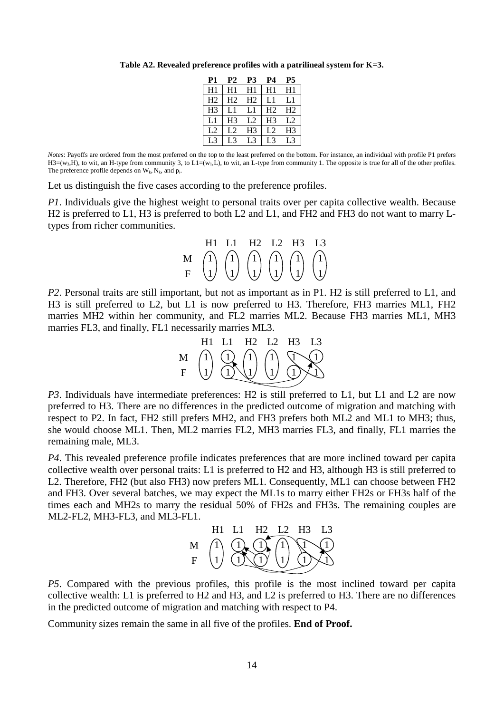| <b>P1</b>      | <b>P2</b>      | <b>P3</b>      | P4             | P5             |
|----------------|----------------|----------------|----------------|----------------|
| H1             | H1             | H1             | H1             | H1             |
| H <sub>2</sub> | H <sub>2</sub> | H <sub>2</sub> | L1             | L1             |
| H <sub>3</sub> | L1             | L1             | H <sub>2</sub> | H <sub>2</sub> |
| L1             | H <sub>3</sub> | L <sub>2</sub> | H <sub>3</sub> | L2             |
| L <sub>2</sub> | L2             | H <sub>3</sub> | L <sub>2</sub> | H <sub>3</sub> |
| L <sup>3</sup> | L3             | L3             | L <sub>3</sub> | L3             |

**Table A2. Revealed preference profiles with a patrilineal system for K=3.**

*Notes*: Payoffs are ordered from the most preferred on the top to the least preferred on the bottom. For instance, an individual with profile P1 prefers  $H3=(w_3,H)$ , to wit, an H-type from community 3, to L1=(w<sub>1</sub>,L), to wit, an L-type from community 1. The opposite is true for all of the other profiles. The preference profile depends on  $W_k$ ,  $N_k$ , and  $p_i$ .

Let us distinguish the five cases according to the preference profiles.

*P1*. Individuals give the highest weight to personal traits over per capita collective wealth. Because H2 is preferred to L1, H3 is preferred to both L2 and L1, and FH2 and FH3 do not want to marry Ltypes from richer communities.

|                                                                                                                                                                                                                                                                                      | H1 L1 H2 L2 H3 L3 |  |  |
|--------------------------------------------------------------------------------------------------------------------------------------------------------------------------------------------------------------------------------------------------------------------------------------|-------------------|--|--|
| $\begin{array}{cc} \mathbf{M} & \begin{pmatrix} 1 \\ 1 \end{pmatrix} & \begin{pmatrix} 1 \\ 1 \end{pmatrix} & \begin{pmatrix} 1 \\ 1 \end{pmatrix} & \begin{pmatrix} 1 \\ 1 \end{pmatrix} & \begin{pmatrix} 1 \\ 1 \end{pmatrix} & \begin{pmatrix} 1 \\ 1 \end{pmatrix} \end{array}$ |                   |  |  |
|                                                                                                                                                                                                                                                                                      |                   |  |  |

*P2*. Personal traits are still important, but not as important as in P1. H2 is still preferred to L1, and H3 is still preferred to L2, but L1 is now preferred to H3. Therefore, FH3 marries ML1, FH2 marries MH2 within her community, and FL2 marries ML2. Because FH3 marries ML1, MH3 marries FL3, and finally, FL1 necessarily marries ML3.



*P3*. Individuals have intermediate preferences: H2 is still preferred to L1, but L1 and L2 are now preferred to H3. There are no differences in the predicted outcome of migration and matching with respect to P2. In fact, FH2 still prefers MH2, and FH3 prefers both ML2 and ML1 to MH3; thus, she would choose ML1. Then, ML2 marries FL2, MH3 marries FL3, and finally, FL1 marries the remaining male, ML3.

*P4*. This revealed preference profile indicates preferences that are more inclined toward per capita collective wealth over personal traits: L1 is preferred to H2 and H3, although H3 is still preferred to L2. Therefore, FH2 (but also FH3) now prefers ML1. Consequently, ML1 can choose between FH2 and FH3. Over several batches, we may expect the ML1s to marry either FH2s or FH3s half of the times each and MH2s to marry the residual 50% of FH2s and FH3s. The remaining couples are ML2-FL2, MH3-FL3, and ML3-FL1.

|   | H1. | L1 H2 L2 H3 L3          |                     |  |
|---|-----|-------------------------|---------------------|--|
| M |     | $(1)$ $(1)$ $(1)$ $(1)$ | $\langle 1 \rangle$ |  |

*P5*. Compared with the previous profiles, this profile is the most inclined toward per capita collective wealth: L1 is preferred to H2 and H3, and L2 is preferred to H3. There are no differences in the predicted outcome of migration and matching with respect to P4.

Community sizes remain the same in all five of the profiles. **End of Proof.**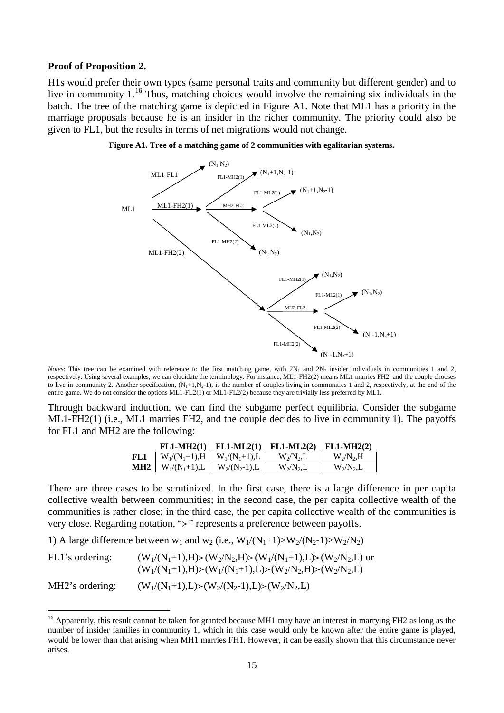#### **Proof of Proposition 2.**

H1s would prefer their own types (same personal traits and community but different gender) and to live in community 1.<sup>[16](#page-17-0)</sup> Thus, matching choices would involve the remaining six individuals in the batch. The tree of the matching game is depicted in Figure A1. Note that ML1 has a priority in the marriage proposals because he is an insider in the richer community. The priority could also be given to FL1, but the results in terms of net migrations would not change.





*Notes*: This tree can be examined with reference to the first matching game, with  $2N_1$  and  $2N_2$  insider individuals in communities 1 and 2, respectively. Using several examples, we can elucidate the terminology. For instance, ML1-FH2(2) means ML1 marries FH2, and the couple chooses to live in community 2. Another specification,  $(N_1+1,N_2-1)$ , is the number of couples living in communities 1 and 2, respectively, at the end of the entire game. We do not consider the options ML1-FL2(1) or ML1-FL2(2) because they are trivially less preferred by ML1.

Through backward induction, we can find the subgame perfect equilibria. Consider the subgame ML1-FH2(1) (i.e., ML1 marries FH2, and the couple decides to live in community 1). The payoffs for FL1 and MH2 are the following:

|                 | $FL1-MH2(1)$                         | $FL1-ML2(1)$      | $FL1-ML2(2)$  | $FL1-MH2(2)$  |
|-----------------|--------------------------------------|-------------------|---------------|---------------|
| FL1             | $W_1/(N_1+1), H \mid W_1/(N_1+1), L$ |                   | $W_2/N_2$ , L | $W_2/N_2$ .H  |
| MH <sub>2</sub> | $W_1/(N_1+1), L$                     | $W_2/(N_2-1)$ , L | $W_2/N_2$ , L | $W_2/N_2$ , L |

There are three cases to be scrutinized. In the first case, there is a large difference in per capita collective wealth between communities; in the second case, the per capita collective wealth of the communities is rather close; in the third case, the per capita collective wealth of the communities is very close. Regarding notation, ">" represents a preference between payoffs.

1) A large difference between  $w_1$  and  $w_2$  (i.e.,  $W_1/(N_1+1) > W_2/(N_2-1) > W_2/N_2$ )

| FL1's ordering: | $(W_1/(N_1+1),H)>(W_2/N_2,H)>(W_1/(N_1+1),L)>(W_2/N_2,L)$ or<br>$(W_1/(N_1+1),H)>(W_1/(N_1+1),L)>(W_2/N_2,H)>(W_2/N_2,L)$ |
|-----------------|---------------------------------------------------------------------------------------------------------------------------|
| MH2's ordering: | $(W_1/(N_1+1),L) > (W_2/(N_2-1),L) > (W_2/N_2,L)$                                                                         |

<span id="page-17-0"></span><sup>&</sup>lt;sup>16</sup> Apparently, this result cannot be taken for granted because MH1 may have an interest in marrying FH2 as long as the number of insider families in community 1, which in this case would only be known after the entire game is played, would be lower than that arising when MH1 marries FH1. However, it can be easily shown that this circumstance never arises.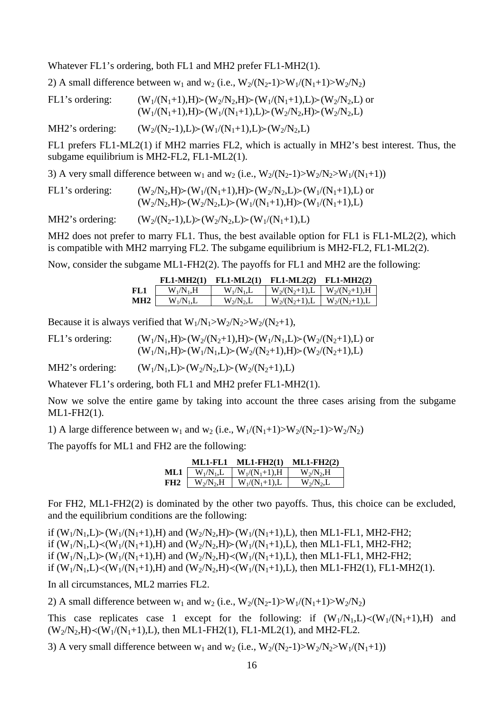Whatever FL1's ordering, both FL1 and MH2 prefer FL1-MH2(1).

2) A small difference between  $w_1$  and  $w_2$  (i.e.,  $W_2/(N_2-1) > W_1/(N_1+1) > W_2/N_2$ )

| FL1's ordering: | $(W_1/(N_1+1),H)>(W_2/N_2,H)>(W_1/(N_1+1),L)>(W_2/N_2,L)$ or |
|-----------------|--------------------------------------------------------------|
|                 | $(W_1/(N_1+1),H)>(W_1/(N_1+1),L)>(W_2/N_2,H)>(W_2/N_2,L)$    |

MH2's ordering:  $(W_2/(N_2-1),L) \ge (W_1/(N_1+1),L) \ge (W_2/N_2,L)$ 

FL1 prefers FL1-ML2(1) if MH2 marries FL2, which is actually in MH2's best interest. Thus, the subgame equilibrium is MH2-FL2, FL1-ML2(1).

3) A very small difference between  $w_1$  and  $w_2$  (i.e.,  $W_2/(N_2-1) > W_2/(N_2) > W_1/(N_1+1)$ )

| FL1's ordering: | $(W_2/N_2,H)$ > $(W_1/(N_1+1),H)$ > $(W_2/N_2,L)$ > $(W_1/(N_1+1),L)$ or |
|-----------------|--------------------------------------------------------------------------|
|                 | $(W_2/N_2,H)$ $>(W_2/N_2,L)$ $>(W_1/(N_1+1),H)$ $>(W_1/(N_1+1),L)$       |

MH2's ordering:  $(W_2/(N_2-1),L) \geq (W_2/N_2,L) \geq (W_1/(N_1+1),L)$ 

MH2 does not prefer to marry FL1. Thus, the best available option for FL1 is FL1-ML2(2), which is compatible with MH2 marrying FL2. The subgame equilibrium is MH2-FL2, FL1-ML2(2).

Now, consider the subgame ML1-FH2(2). The payoffs for FL1 and MH2 are the following:

|                 | $FL1-MH2(1)$  | $FL1-ML2(1)$ | $FL1-ML2(2)$     | $FL1-MH2(2)$      |
|-----------------|---------------|--------------|------------------|-------------------|
| -FL 1           | $W_1/N_1$ .H  | $W_1/N_1.L$  | $W_2/(N_2+1)$ ,L | $W_2/(N_2+1)$ , H |
| MH <sub>2</sub> | $W_1/N_1$ , L | $W_2/N_2,L$  | $W_2/(N_2+1)$ ,L | $W_2/(N_2+1)$ ,L  |

Because it is always verified that  $W_1/N_1 > W_2/N_2 > W_2/(N_2+1)$ ,

FL1's ordering:  $(W_1/N_1,H) \geq (W_2/(N_2+1),H) \geq (W_1/N_1,L) \geq (W_2/(N_2+1),L)$  or  $(W_1/N_1,H)$   $\geq$   $(W_1/N_1,L)$   $\geq$   $(W_2/(N_2+1),H)$   $\geq$   $(W_2/(N_2+1),L)$ 

MH2's ordering:  $(W_1/N_1,L) \geq (W_2/N_2,L) \geq (W_2/(N_2+1),L)$ 

Whatever FL1's ordering, both FL1 and MH2 prefer FL1-MH2(1).

Now we solve the entire game by taking into account the three cases arising from the subgame ML1-FH2(1).

1) A large difference between  $w_1$  and  $w_2$  (i.e.,  $W_1/(N_1+1) > W_2/(N_2-1) > W_2/N_2$ )

The payoffs for ML1 and FH2 are the following:

|                 | ML1-FL1       | $ML1-FH2(1)$      | $ML1$ -FH2 $(2)$ |
|-----------------|---------------|-------------------|------------------|
| ML1             | $W_1/N_1.L$   | $W_1/(N_1+1)$ , H | $W_2/N_2$ , H    |
| FH <sub>2</sub> | $W_2/N_2$ , H | $W_1/(N_1+1)$ , L | $W_2/N_2$ , L    |

For FH2, ML1-FH2(2) is dominated by the other two payoffs. Thus, this choice can be excluded, and the equilibrium conditions are the following:

if  $(W_1/N_1,L)$   $\geq$   $(W_1/(N_1+1),H)$  and  $(W_2/N_2,H)$   $\geq$   $(W_1/(N_1+1),L)$ , then ML1-FL1, MH2-FH2; if  $(W_1/N_1,L) \ll (W_1/(N_1+1),H)$  and  $(W_2/N_2,H) \succ (W_1/(N_1+1),L)$ , then ML1-FL1, MH2-FH2; if  $(W_1/N_1,L)$   $(W_1/(N_1+1),H)$  and  $(W_2/N_2,H)$   $\prec$   $(W_1/(N_1+1),L)$ , then ML1-FL1, MH2-FH2; if  $(W_1/N_1,L) \ll (W_1/(N_1+1),H)$  and  $(W_2/N_2,H) \ll (W_1/(N_1+1),L)$ , then ML1-FH2(1), FL1-MH2(1).

In all circumstances, ML2 marries FL2.

2) A small difference between  $w_1$  and  $w_2$  (i.e.,  $W_2/(N_2-1) > W_1/(N_1+1) > W_2/N_2$ )

This case replicates case 1 except for the following: if  $(W_1/N_1,L) \lt (W_1/(N_1+1),H)$  and  $(W_2/N_2,H) \ll (W_1/(N_1+1),L)$ , then ML1-FH2(1), FL1-ML2(1), and MH2-FL2.

3) A very small difference between  $w_1$  and  $w_2$  (i.e.,  $W_2/(N_2-1) > W_2/N_2 > W_1/(N_1+1)$ )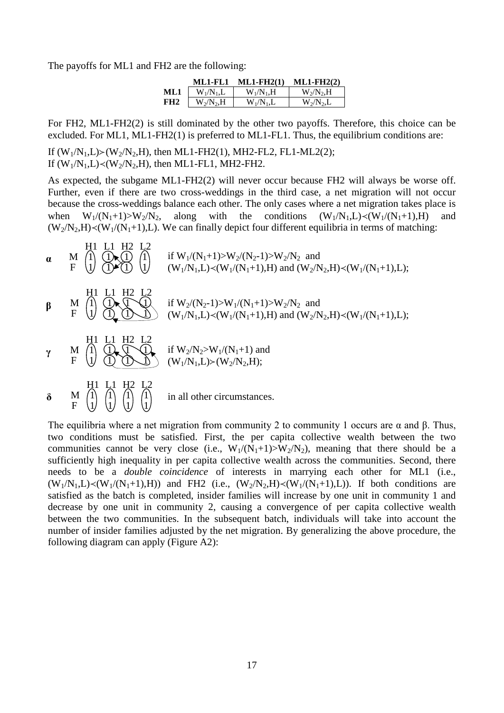The payoffs for ML1 and FH2 are the following:

|                 | ML1-FL1       | <b>ML1-FH2(1)</b> | $ML1-FH2(2)$  |
|-----------------|---------------|-------------------|---------------|
| ML1             | $W_1/N_1$ , L | $W_1/N_1$ .H      | $W_2/N_2$ , H |
| FH <sub>2</sub> | $W_2/N_2$ , H | $W_1/N_1.L$       | $W_2/N_2$ , L |

For FH2, ML1-FH2(2) is still dominated by the other two payoffs. Therefore, this choice can be excluded. For ML1, ML1-FH2(1) is preferred to ML1-FL1. Thus, the equilibrium conditions are:

If  $(W_1/N_1,L)$   $>(W_2/N_2,H)$ , then ML1-FH2(1), MH2-FL2, FL1-ML2(2); If  $(W_1/N_1,L) \prec (W_2/N_2,H)$ , then ML1-FL1, MH2-FH2.

As expected, the subgame ML1-FH2(2) will never occur because FH2 will always be worse off. Further, even if there are two cross-weddings in the third case, a net migration will not occur because the cross-weddings balance each other. The only cases where a net migration takes place is when  $W_1/(N_1+1) > W_2/N_2$ , along with the conditions  $(W_1/N_1,L) \prec (W_1/(N_1+1),H)$  and  $(W_2/N_2,H)$  <  $(W_1/(N_1+1),L)$ . We can finally depict four different equilibria in terms of matching:



The equilibria where a net migration from community 2 to community 1 occurs are α and β. Thus, two conditions must be satisfied. First, the per capita collective wealth between the two communities cannot be very close (i.e.,  $W_1/(N_1+1) > W_2/N_2$ ), meaning that there should be a sufficiently high inequality in per capita collective wealth across the communities. Second, there needs to be a *double coincidence* of interests in marrying each other for ML1 (i.e.,  $(W_1/N_1,L) \le (W_1/(N_1+1),H)$  and FH2 (i.e.,  $(W_2/N_2,H) \le (W_1/(N_1+1),L)$ ). If both conditions are satisfied as the batch is completed, insider families will increase by one unit in community 1 and decrease by one unit in community 2, causing a convergence of per capita collective wealth between the two communities. In the subsequent batch, individuals will take into account the number of insider families adjusted by the net migration. By generalizing the above procedure, the following diagram can apply (Figure A2):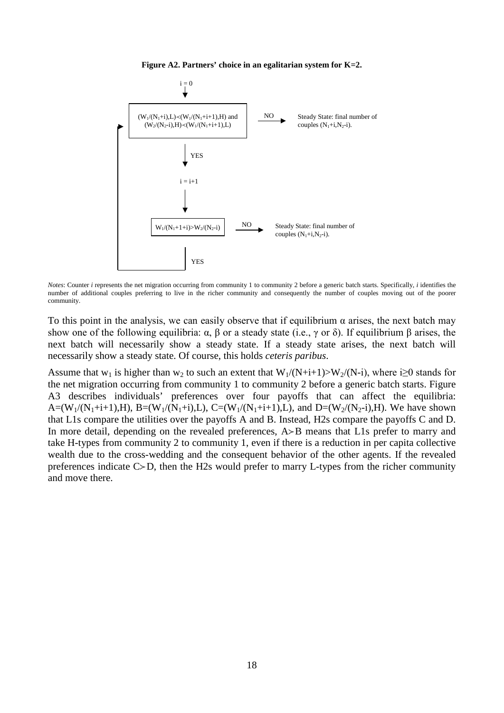**Figure A2. Partners' choice in an egalitarian system for K=2.**



*Notes*: Counter *i* represents the net migration occurring from community 1 to community 2 before a generic batch starts. Specifically, *i* identifies the number of additional couples preferring to live in the richer community and consequently the number of couples moving out of the poorer community.

To this point in the analysis, we can easily observe that if equilibrium  $\alpha$  arises, the next batch may show one of the following equilibria:  $\alpha$ ,  $\beta$  or a steady state (i.e.,  $\gamma$  or  $\delta$ ). If equilibrium  $\beta$  arises, the next batch will necessarily show a steady state. If a steady state arises, the next batch will necessarily show a steady state. Of course, this holds *ceteris paribus*.

Assume that w<sub>1</sub> is higher than w<sub>2</sub> to such an extent that  $W_1/(N+i+1) > W_2/(N-i)$ , where i $\geq 0$  stands for the net migration occurring from community 1 to community 2 before a generic batch starts. Figure A3 describes individuals' preferences over four payoffs that can affect the equilibria: A=(W<sub>1</sub>/(N<sub>1</sub>+i+1),H), B=(W<sub>1</sub>/(N<sub>1</sub>+i),L), C=(W<sub>1</sub>/(N<sub>1</sub>+i+1),L), and D=(W<sub>2</sub>/(N<sub>2</sub>-i),H). We have shown that L1s compare the utilities over the payoffs A and B. Instead, H2s compare the payoffs C and D. In more detail, depending on the revealed preferences,  $A \rightarrow B$  means that L1s prefer to marry and take H-types from community 2 to community 1, even if there is a reduction in per capita collective wealth due to the cross-wedding and the consequent behavior of the other agents. If the revealed preferences indicate  $C\gt D$ , then the H2s would prefer to marry L-types from the richer community and move there.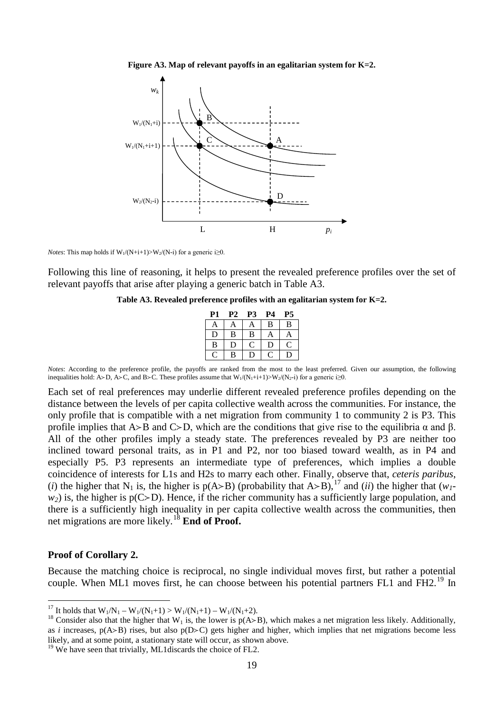



*Notes*: This map holds if  $W_1/(N+i+1) > W_2/(N-i)$  for a generic i $\geq 0$ .

Following this line of reasoning, it helps to present the revealed preference profiles over the set of relevant payoffs that arise after playing a generic batch in Table A3.

#### **Table A3. Revealed preference profiles with an egalitarian system for K=2.**

| P1 | P2 | P3 | P4          | <b>P5</b> |
|----|----|----|-------------|-----------|
| A  | A  | A  | B           | B         |
| D  | B  | B  | A           | A         |
| B  | D  | C. | $\mathbf D$ | C         |
|    | B  | IJ |             |           |

*Notes*: According to the preference profile, the payoffs are ranked from the most to the least preferred. Given our assumption, the following inequalities hold: A>D, A>C, and B>C. These profiles assume that  $W_1/(N_1+i+1)$ >W<sub>2</sub>/(N<sub>2</sub>-i) for a generic i≥0.

Each set of real preferences may underlie different revealed preference profiles depending on the distance between the levels of per capita collective wealth across the communities. For instance, the only profile that is compatible with a net migration from community 1 to community 2 is P3. This profile implies that A>B and C>D, which are the conditions that give rise to the equilibria  $\alpha$  and  $\beta$ . All of the other profiles imply a steady state. The preferences revealed by P3 are neither too inclined toward personal traits, as in P1 and P2, nor too biased toward wealth, as in P4 and especially P5. P3 represents an intermediate type of preferences, which implies a double coincidence of interests for L1s and H2s to marry each other. Finally, observe that, *ceteris paribus*, (*i*) the higher that N<sub>1</sub> is, the higher is p(A>B) (probability that A>B),<sup>[17](#page-21-0)</sup> and (*ii*) the higher that (*w<sub>1</sub>* $w_2$ ) is, the higher is  $p(C>D)$ . Hence, if the richer community has a sufficiently large population, and there is a sufficiently high inequality in per capita collective wealth across the communities, then net migrations are more likely.[18](#page-21-1) **End of Proof.**

#### **Proof of Corollary 2.**

Because the matching choice is reciprocal, no single individual moves first, but rather a potential couple. When ML1 moves first, he can choose between his potential partners FL1 and FH2.<sup>[19](#page-21-2)</sup> In

<span id="page-21-2"></span> $19$  We have seen that trivially, ML1discards the choice of FL2.

<span id="page-21-1"></span><span id="page-21-0"></span><sup>&</sup>lt;sup>17</sup> It holds that  $W_1/N_1 - W_1/(N_1+1) > W_1/(N_1+1) - W_1/(N_1+2)$ .<br><sup>18</sup> Consider also that the higher that W<sub>1</sub> is, the lower is p(A>B), which makes a net migration less likely. Additionally, as *i* increases,  $p(A>B)$  rises, but also  $p(D>C)$  gets higher and higher, which implies that net migrations become less likely, and at some point, a stationary state will occur, as shown above.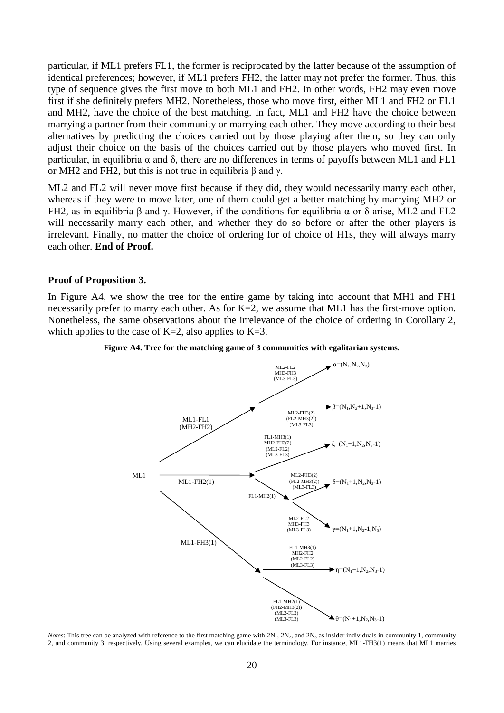particular, if ML1 prefers FL1, the former is reciprocated by the latter because of the assumption of identical preferences; however, if ML1 prefers FH2, the latter may not prefer the former. Thus, this type of sequence gives the first move to both ML1 and FH2. In other words, FH2 may even move first if she definitely prefers MH2. Nonetheless, those who move first, either ML1 and FH2 or FL1 and MH2, have the choice of the best matching. In fact, ML1 and FH2 have the choice between marrying a partner from their community or marrying each other. They move according to their best alternatives by predicting the choices carried out by those playing after them, so they can only adjust their choice on the basis of the choices carried out by those players who moved first. In particular, in equilibria  $\alpha$  and  $\delta$ , there are no differences in terms of payoffs between ML1 and FL1 or MH2 and FH2, but this is not true in equilibria β and γ.

ML2 and FL2 will never move first because if they did, they would necessarily marry each other, whereas if they were to move later, one of them could get a better matching by marrying MH2 or FH2, as in equilibria β and γ. However, if the conditions for equilibria  $\alpha$  or δ arise, ML2 and FL2 will necessarily marry each other, and whether they do so before or after the other players is irrelevant. Finally, no matter the choice of ordering for of choice of H1s, they will always marry each other. **End of Proof.**

#### **Proof of Proposition 3.**

In Figure A4, we show the tree for the entire game by taking into account that MH1 and FH1 necessarily prefer to marry each other. As for K=2, we assume that ML1 has the first-move option. Nonetheless, the same observations about the irrelevance of the choice of ordering in Corollary 2, which applies to the case of K=2, also applies to K=3.





*Notes*: This tree can be analyzed with reference to the first matching game with  $2N_1$ ,  $2N_2$ , and  $2N_3$  as insider individuals in community 1, community 2, and community 3, respectively. Using several examples, we can elucidate the terminology. For instance, ML1-FH3(1) means that ML1 marries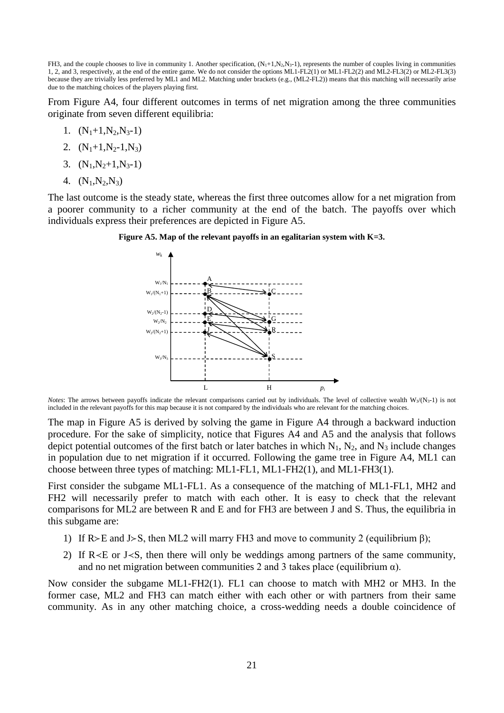FH3, and the couple chooses to live in community 1. Another specification,  $(N_1+1, N_2, N_3-1)$ , represents the number of couples living in communities 1, 2, and 3, respectively, at the end of the entire game. We do not consider the options ML1-FL2(1) or ML1-FL2(2) and ML2-FL3(2) or ML2-FL3(3) because they are trivially less preferred by ML1 and ML2. Matching under brackets (e.g., (ML2-FL2)) means that this matching will necessarily arise due to the matching choices of the players playing first.

From Figure A4, four different outcomes in terms of net migration among the three communities originate from seven different equilibria:

1.  $(N_1+1,N_2,N_3-1)$ 

2. 
$$
(N_1+1, N_2-1, N_3)
$$

- 3.  $(N_1,N_2+1,N_3-1)$
- 4.  $(N_1, N_2, N_3)$

The last outcome is the steady state, whereas the first three outcomes allow for a net migration from a poorer community to a richer community at the end of the batch. The payoffs over which individuals express their preferences are depicted in Figure A5.





*Notes*: The arrows between payoffs indicate the relevant comparisons carried out by individuals. The level of collective wealth  $W_3/(N_3-1)$  is not included in the relevant payoffs for this map because it is not compared by the individuals who are relevant for the matching choices.

The map in Figure A5 is derived by solving the game in Figure A4 through a backward induction procedure. For the sake of simplicity, notice that Figures A4 and A5 and the analysis that follows depict potential outcomes of the first batch or later batches in which  $N_1$ ,  $N_2$ , and  $N_3$  include changes in population due to net migration if it occurred. Following the game tree in Figure A4, ML1 can choose between three types of matching: ML1-FL1, ML1-FH2(1), and ML1-FH3(1).

First consider the subgame ML1-FL1. As a consequence of the matching of ML1-FL1, MH2 and FH2 will necessarily prefer to match with each other. It is easy to check that the relevant comparisons for ML2 are between R and E and for FH3 are between J and S. Thus, the equilibria in this subgame are:

- 1) If  $R > E$  and J  $S$ , then ML2 will marry FH3 and move to community 2 (equilibrium β);
- 2) If  $R \le E$  or J $\le S$ , then there will only be weddings among partners of the same community, and no net migration between communities 2 and 3 takes place (equilibrium  $\alpha$ ).

Now consider the subgame ML1-FH2(1). FL1 can choose to match with MH2 or MH3. In the former case, ML2 and FH3 can match either with each other or with partners from their same community. As in any other matching choice, a cross-wedding needs a double coincidence of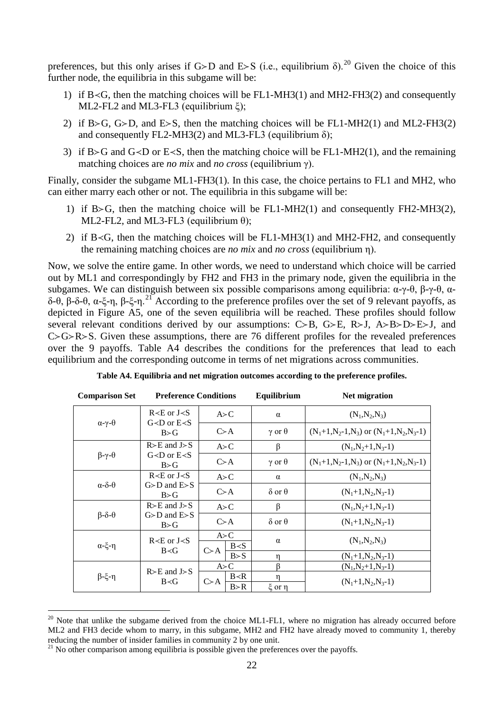preferences, but this only arises if G>D and E>S (i.e., equilibrium  $\delta$ ).<sup>[20](#page-24-0)</sup> Given the choice of this further node, the equilibria in this subgame will be:

- 1) if  $B \le G$ , then the matching choices will be FL1-MH3(1) and MH2-FH3(2) and consequently ML2-FL2 and ML3-FL3 (equilibrium ξ);
- 2) if B>G, G>D, and E>S, then the matching choices will be FL1-MH2(1) and ML2-FH3(2) and consequently FL2-MH3(2) and ML3-FL3 (equilibrium  $\delta$ );
- 3) if B>G and G<D or E<S, then the matching choice will be FL1-MH2(1), and the remaining matching choices are *no mix* and *no cross* (equilibrium γ).

Finally, consider the subgame ML1-FH3(1). In this case, the choice pertains to FL1 and MH2, who can either marry each other or not. The equilibria in this subgame will be:

- 1) if  $B > G$ , then the matching choice will be FL1-MH2(1) and consequently FH2-MH3(2), ML2-FL2, and ML3-FL3 (equilibrium  $\theta$ );
- 2) if  $B \le G$ , then the matching choices will be FL1-MH3(1) and MH2-FH2, and consequently the remaining matching choices are *no mix* and *no cross* (equilibrium η).

Now, we solve the entire game. In other words, we need to understand which choice will be carried out by ML1 and correspondingly by FH2 and FH3 in the primary node, given the equilibria in the subgames. We can distinguish between six possible comparisons among equilibria: α-γ-θ, β-γ-θ, α-δ-θ, β-δ-θ, α-ξ-η, β-ξ-η.<sup>[21](#page-24-1)</sup> According to the preference profiles over the set of 9 relevant payoffs, as depicted in Figure A5, one of the seven equilibria will be reached. These profiles should follow several relevant conditions derived by our assumptions:  $C > B$ ,  $G > E$ ,  $R > J$ ,  $A > B > D > E > J$ , and  $C > G > R > S$ . Given these assumptions, there are 76 different profiles for the revealed preferences over the 9 payoffs. Table A4 describes the conditions for the preferences that lead to each equilibrium and the corresponding outcome in terms of net migrations across communities.

| <b>Comparison Set</b><br><b>Preference Conditions</b> |                                                                                  |                                     | Equilibrium               | Net migration                              |
|-------------------------------------------------------|----------------------------------------------------------------------------------|-------------------------------------|---------------------------|--------------------------------------------|
| $\alpha-\gamma-\theta$                                | $R \lt E$ or $J \lt S$<br>$G < D$ or $E < S$<br>B > G                            | A > C                               | $\alpha$                  | $(N_1,N_2,N_3)$                            |
|                                                       |                                                                                  | $C \gt A$                           | $\gamma$ or $\theta$      | $(N_1+1,N_2-1,N_3)$ or $(N_1+1,N_2,N_3-1)$ |
| $\beta-\gamma-\theta$                                 | $R>E$ and $J>S$<br>$G < D$ or $E < S$<br>B > G                                   | A > C                               | $\beta$                   | $(N_1,N_2+1,N_3-1)$                        |
|                                                       |                                                                                  | $C \gt A$                           | $\gamma$ or $\theta$      | $(N_1+1,N_2-1,N_3)$ or $(N_1+1,N_2,N_3-1)$ |
| $\alpha-\delta-\theta$                                | $R \lt E$ or $J \lt S$<br>$G \triangleright D$ and $E \triangleright S$<br>B > G | A > C                               | $\alpha$                  | $(N_1,N_2,N_3)$                            |
|                                                       |                                                                                  | $C \gt A$                           | $\delta$ or $\theta$      | $(N_1+1,N_2,N_3-1)$                        |
| $\beta-\delta-\theta$                                 | $R>E$ and $J>S$<br>$G \triangleright D$ and $E \triangleright S$<br>B > G        | A > C                               | β                         | $(N_1,N_2+1,N_3-1)$                        |
|                                                       |                                                                                  | $C \gt A$                           | $\delta$ or $\theta$      | $(N_1+1,N_2,N_3-1)$                        |
| $\alpha$ -ξ-η                                         | $R \lt E$ or J $\lt S$<br>$B \prec G$                                            | A > C<br>B < S                      | $\alpha$                  | $(N_1, N_2, N_3)$                          |
|                                                       |                                                                                  | $C \geq A$<br>B > S                 | η                         | $(N_1+1,N_2,N_3-1)$                        |
| $β-ξ-η$                                               | $R>E$ and $J>S$<br>B < G                                                         | A > C                               | ß                         | $(N_1,N_2+1,N_3-1)$                        |
|                                                       |                                                                                  | B < R<br>$C \rightarrow A$<br>B > R | $\eta$<br>$\xi$ or $\eta$ | $(N_1+1,N_2,N_3-1)$                        |

**Table A4. Equilibria and net migration outcomes according to the preference profiles.**

<span id="page-24-0"></span> $20$  Note that unlike the subgame derived from the choice ML1-FL1, where no migration has already occurred before ML2 and FH3 decide whom to marry, in this subgame, MH2 and FH2 have already moved to community 1, thereby reducing the number of insider families in community 2 by one unit.

<span id="page-24-1"></span> $21$  No other comparison among equilibria is possible given the preferences over the payoffs.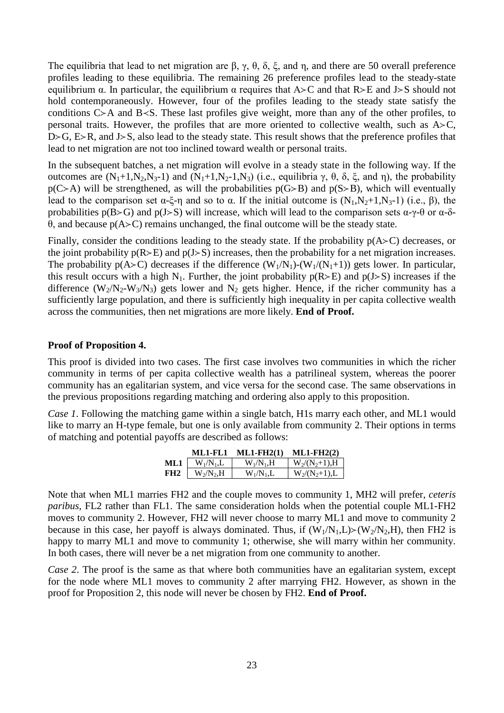The equilibria that lead to net migration are β, γ, θ, δ, ξ, and η, and there are 50 overall preference profiles leading to these equilibria. The remaining 26 preference profiles lead to the steady-state equilibrium  $\alpha$ . In particular, the equilibrium  $\alpha$  requires that A>C and that R>E and J>S should not hold contemporaneously. However, four of the profiles leading to the steady state satisfy the conditions  $C>A$  and  $B\leq S$ . These last profiles give weight, more than any of the other profiles, to personal traits. However, the profiles that are more oriented to collective wealth, such as  $A > C$ ,  $D>G$ ,  $E>R$ , and  $J>S$ , also lead to the steady state. This result shows that the preference profiles that lead to net migration are not too inclined toward wealth or personal traits.

In the subsequent batches, a net migration will evolve in a steady state in the following way. If the outcomes are  $(N_1+1,N_2,N_3-1)$  and  $(N_1+1,N_2-1,N_3)$  (i.e., equilibria γ, θ, δ, ξ, and η), the probability  $p(C \geq A)$  will be strengthened, as will the probabilities  $p(G \geq B)$  and  $p(S \geq B)$ , which will eventually lead to the comparison set  $\alpha$ -ξ-η and so to  $\alpha$ . If the initial outcome is  $(N_1,N_2+1,N_3-1)$  (i.e., β), the probabilities  $p(B>G)$  and  $p(J>S)$  will increase, which will lead to the comparison sets  $\alpha$ -γ-θ or  $\alpha$ -δθ, and because p(AC) remains unchanged, the final outcome will be the steady state.

Finally, consider the conditions leading to the steady state. If the probability  $p(A \gt C)$  decreases, or the joint probability  $p(R \ge E)$  and  $p(J \ge S)$  increases, then the probability for a net migration increases. The probability  $p(A>C)$  decreases if the difference  $(W_1/N_1)-(W_1/(N_1+1))$  gets lower. In particular, this result occurs with a high N<sub>1</sub>. Further, the joint probability  $p(R>E)$  and  $p(J>S)$  increases if the difference  $(W_2/N_2-W_3/N_3)$  gets lower and  $N_2$  gets higher. Hence, if the richer community has a sufficiently large population, and there is sufficiently high inequality in per capita collective wealth across the communities, then net migrations are more likely. **End of Proof.**

#### **Proof of Proposition 4.**

This proof is divided into two cases. The first case involves two communities in which the richer community in terms of per capita collective wealth has a patrilineal system, whereas the poorer community has an egalitarian system, and vice versa for the second case. The same observations in the previous propositions regarding matching and ordering also apply to this proposition.

*Case 1*. Following the matching game within a single batch, H1s marry each other, and ML1 would like to marry an H-type female, but one is only available from community 2. Their options in terms of matching and potential payoffs are described as follows:

|                 | ML1-FL1       | $ML1-FH2(1)$  | $ML1$ -FH2 $(2)$ |
|-----------------|---------------|---------------|------------------|
| ML1             | $W_1/N_1,L$   | $W_1/N_1$ , H | $W_2/(N_2+1)$ ,H |
| FH <sub>2</sub> | $W_2/N_2$ , H | $W_1/N_1$ , L | $W_2/(N_2+1), L$ |

Note that when ML1 marries FH2 and the couple moves to community 1, MH2 will prefer, *ceteris paribus*, FL2 rather than FL1. The same consideration holds when the potential couple ML1-FH2 moves to community 2. However, FH2 will never choose to marry ML1 and move to community 2 because in this case, her payoff is always dominated. Thus, if  $(W_1/N_1, L) \rightarrow (W_2/N_2, H)$ , then FH2 is happy to marry ML1 and move to community 1; otherwise, she will marry within her community. In both cases, there will never be a net migration from one community to another.

*Case 2.* The proof is the same as that where both communities have an egalitarian system, except for the node where ML1 moves to community 2 after marrying FH2. However, as shown in the proof for Proposition 2, this node will never be chosen by FH2. **End of Proof.**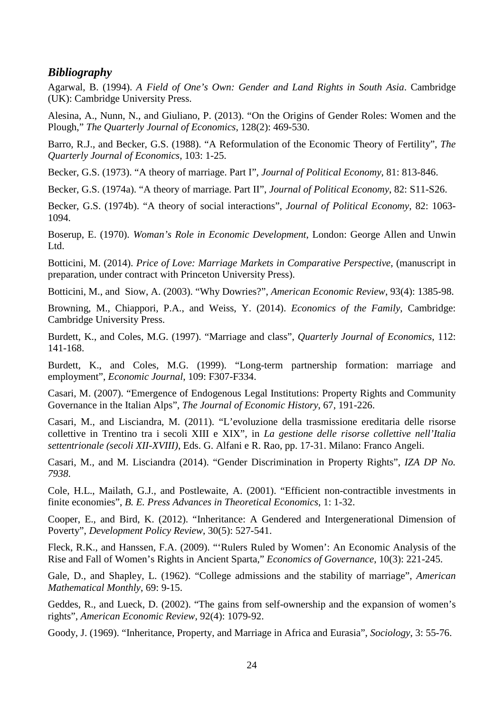#### *Bibliography*

Agarwal, B. (1994). *A Field of One's Own: Gender and Land Rights in South Asia*. Cambridge (UK): Cambridge University Press.

Alesina, A., Nunn, N., and Giuliano, P. (2013). "On the Origins of Gender Roles: Women and the Plough," *The Quarterly Journal of Economics*, 128(2): 469-530.

Barro, R.J., and Becker, G.S. (1988). "A Reformulation of the Economic Theory of Fertility", *The Quarterly Journal of Economics*, 103: 1-25.

Becker, G.S. (1973). "A theory of marriage. Part I", *Journal of Political Economy*, 81: 813-846.

Becker, G.S. (1974a). "A theory of marriage. Part II", *Journal of Political Economy*, 82: S11-S26.

Becker, G.S. (1974b). "A theory of social interactions", *Journal of Political Economy*, 82: 1063- 1094.

Boserup, E. (1970). *Woman's Role in Economic Development*, London: George Allen and Unwin Ltd.

Botticini, M. (2014). *Price of Love: Marriage Markets in Comparative Perspective*, (manuscript in preparation, under contract with Princeton University Press).

Botticini, M., and Siow, A. (2003). "Why Dowries?", *American Economic Review*, 93(4): 1385-98.

Browning, M., Chiappori, P.A., and Weiss, Y. (2014). *Economics of the Family*, Cambridge: Cambridge University Press.

Burdett, K., and Coles, M.G. (1997). "Marriage and class", *Quarterly Journal of Economics*, 112: 141-168.

Burdett, K., and Coles, M.G. (1999). "Long-term partnership formation: marriage and employment", *Economic Journal*, 109: F307-F334.

Casari, M. (2007). "Emergence of Endogenous Legal Institutions: Property Rights and Community Governance in the Italian Alps", *The Journal of Economic History*, 67, 191-226.

Casari, M., and Lisciandra, M. (2011). "L'evoluzione della trasmissione ereditaria delle risorse collettive in Trentino tra i secoli XIII e XIX", in *La gestione delle risorse collettive nell'Italia settentrionale (secoli XII-XVIII)*, Eds. G. Alfani e R. Rao, pp. 17-31. Milano: Franco Angeli.

Casari, M., and M. Lisciandra (2014). "Gender Discrimination in Property Rights", *IZA DP No. 7938*.

Cole, H.L., Mailath, G.J., and Postlewaite, A. (2001). "Efficient non-contractible investments in finite economies", *B. E. Press Advances in Theoretical Economics*, 1: 1-32.

Cooper, E., and Bird, K. (2012). "Inheritance: A Gendered and Intergenerational Dimension of Poverty", *Development Policy Review*, 30(5): 527-541.

Fleck, R.K., and Hanssen, F.A. (2009). "'Rulers Ruled by Women': An Economic Analysis of the Rise and Fall of Women's Rights in Ancient Sparta," *Economics of Governance*, 10(3): 221-245.

Gale, D., and Shapley, L. (1962). "College admissions and the stability of marriage", *American Mathematical Monthly*, 69: 9-15.

Geddes, R., and Lueck, D. (2002). "The gains from self-ownership and the expansion of women's rights", *American Economic Review*, 92(4): 1079-92.

Goody, J. (1969). "Inheritance, Property, and Marriage in Africa and Eurasia", *Sociology*, 3: 55-76.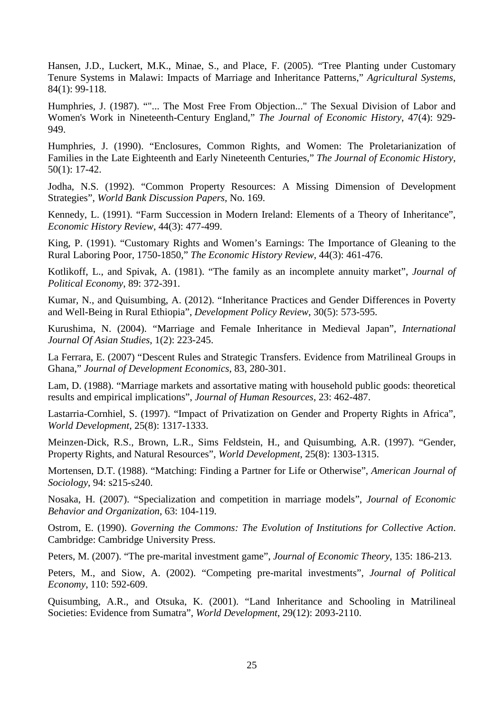Hansen, J.D., Luckert, M.K., Minae, S., and Place, F. (2005). "Tree Planting under Customary Tenure Systems in Malawi: Impacts of Marriage and Inheritance Patterns," *Agricultural Systems*, 84(1): 99-118.

Humphries, J. (1987). ""... The Most Free From Objection..." The Sexual Division of Labor and Women's Work in Nineteenth-Century England," *The Journal of Economic History*, 47(4): 929- 949.

Humphries, J. (1990). "Enclosures, Common Rights, and Women: The Proletarianization of Families in the Late Eighteenth and Early Nineteenth Centuries," *The Journal of Economic History*, 50(1): 17-42.

Jodha, N.S. (1992). "Common Property Resources: A Missing Dimension of Development Strategies", *World Bank Discussion Papers*, No. 169.

Kennedy, L. (1991). "Farm Succession in Modern Ireland: Elements of a Theory of Inheritance", *Economic History Review*, 44(3): 477-499.

King, P. (1991). "Customary Rights and Women's Earnings: The Importance of Gleaning to the Rural Laboring Poor, 1750-1850," *The Economic History Review*, 44(3): 461-476.

Kotlikoff, L., and Spivak, A. (1981). "The family as an incomplete annuity market", *Journal of Political Economy*, 89: 372-391.

Kumar, N., and Quisumbing, A. (2012). "Inheritance Practices and Gender Differences in Poverty and Well-Being in Rural Ethiopia", *Development Policy Review*, 30(5): 573-595.

Kurushima, N. (2004). "Marriage and Female Inheritance in Medieval Japan", *International Journal Of Asian Studies*, 1(2): 223-245.

La Ferrara, E. (2007) "Descent Rules and Strategic Transfers. Evidence from Matrilineal Groups in Ghana," *Journal of Development Economics*, 83, 280-301.

Lam, D. (1988). "Marriage markets and assortative mating with household public goods: theoretical results and empirical implications", *Journal of Human Resources*, 23: 462-487.

Lastarria-Cornhiel, S. (1997). "Impact of Privatization on Gender and Property Rights in Africa", *World Development*, 25(8): 1317-1333.

Meinzen-Dick, R.S., Brown, L.R., Sims Feldstein, H., and Quisumbing, A.R. (1997). "Gender, Property Rights, and Natural Resources", *World Development*, 25(8): 1303-1315.

Mortensen, D.T. (1988). "Matching: Finding a Partner for Life or Otherwise", *American Journal of Sociology*, 94: s215-s240.

Nosaka, H. (2007). "Specialization and competition in marriage models", *Journal of Economic Behavior and Organization*, 63: 104-119.

Ostrom, E. (1990). *Governing the Commons: The Evolution of Institutions for Collective Action*. Cambridge: Cambridge University Press.

Peters, M. (2007). "The pre-marital investment game", *Journal of Economic Theory*, 135: 186-213.

Peters, M., and Siow, A. (2002). "Competing pre-marital investments", *Journal of Political Economy*, 110: 592-609.

Quisumbing, A.R., and Otsuka, K. (2001). "Land Inheritance and Schooling in Matrilineal Societies: Evidence from Sumatra", *World Development*, 29(12): 2093-2110.